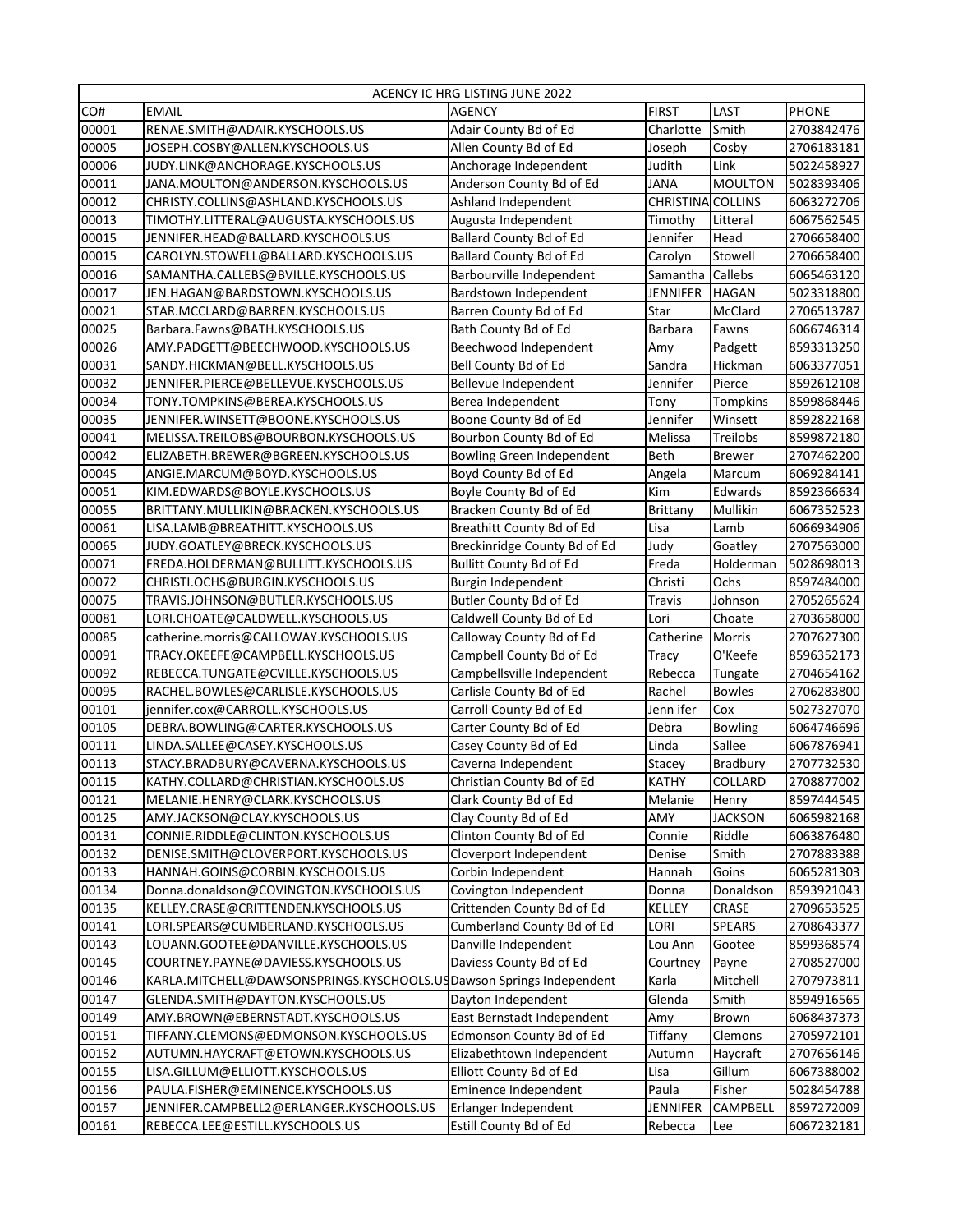| ACENCY IC HRG LISTING JUNE 2022 |                                                                     |                                |                  |                 |              |
|---------------------------------|---------------------------------------------------------------------|--------------------------------|------------------|-----------------|--------------|
| CO#                             | <b>EMAIL</b>                                                        | <b>AGENCY</b>                  | <b>FIRST</b>     | <b>LAST</b>     | <b>PHONE</b> |
| 00001                           | RENAE.SMITH@ADAIR.KYSCHOOLS.US                                      | Adair County Bd of Ed          | Charlotte        | Smith           | 2703842476   |
| 00005                           | JOSEPH.COSBY@ALLEN.KYSCHOOLS.US                                     | Allen County Bd of Ed          | Joseph           | Cosby           | 2706183181   |
| 00006                           | JUDY.LINK@ANCHORAGE.KYSCHOOLS.US                                    | Anchorage Independent          | Judith           | Link            | 5022458927   |
| 00011                           | JANA.MOULTON@ANDERSON.KYSCHOOLS.US                                  | Anderson County Bd of Ed       | <b>JANA</b>      | <b>MOULTON</b>  | 5028393406   |
| 00012                           | CHRISTY.COLLINS@ASHLAND.KYSCHOOLS.US                                | Ashland Independent            | <b>CHRISTINA</b> | <b>COLLINS</b>  | 6063272706   |
| 00013                           | TIMOTHY.LITTERAL@AUGUSTA.KYSCHOOLS.US                               | Augusta Independent            | Timothy          | Litteral        | 6067562545   |
| 00015                           | JENNIFER.HEAD@BALLARD.KYSCHOOLS.US                                  | Ballard County Bd of Ed        | Jennifer         | Head            | 2706658400   |
| 00015                           | CAROLYN.STOWELL@BALLARD.KYSCHOOLS.US                                | <b>Ballard County Bd of Ed</b> | Carolyn          | Stowell         | 2706658400   |
| 00016                           | SAMANTHA.CALLEBS@BVILLE.KYSCHOOLS.US                                | Barbourville Independent       | Samantha         | Callebs         | 6065463120   |
| 00017                           | JEN.HAGAN@BARDSTOWN.KYSCHOOLS.US                                    | Bardstown Independent          | <b>JENNIFER</b>  | <b>HAGAN</b>    | 5023318800   |
| 00021                           | STAR.MCCLARD@BARREN.KYSCHOOLS.US                                    | Barren County Bd of Ed         | Star             | McClard         | 2706513787   |
| 00025                           | Barbara.Fawns@BATH.KYSCHOOLS.US                                     | Bath County Bd of Ed           | <b>Barbara</b>   | Fawns           | 6066746314   |
| 00026                           | AMY.PADGETT@BEECHWOOD.KYSCHOOLS.US                                  | Beechwood Independent          | Amy              | Padgett         | 8593313250   |
| 00031                           | SANDY.HICKMAN@BELL.KYSCHOOLS.US                                     | Bell County Bd of Ed           | Sandra           | Hickman         | 6063377051   |
| 00032                           | JENNIFER.PIERCE@BELLEVUE.KYSCHOOLS.US                               | Bellevue Independent           | Jennifer         | Pierce          | 8592612108   |
| 00034                           | TONY.TOMPKINS@BEREA.KYSCHOOLS.US                                    | Berea Independent              | Tony             | <b>Tompkins</b> | 8599868446   |
| 00035                           | JENNIFER.WINSETT@BOONE.KYSCHOOLS.US                                 | Boone County Bd of Ed          | Jennifer         | Winsett         | 8592822168   |
| 00041                           | MELISSA.TREILOBS@BOURBON.KYSCHOOLS.US                               | Bourbon County Bd of Ed        | Melissa          | Treilobs        | 8599872180   |
| 00042                           | ELIZABETH.BREWER@BGREEN.KYSCHOOLS.US                                | Bowling Green Independent      | <b>Beth</b>      | <b>Brewer</b>   | 2707462200   |
| 00045                           | ANGIE.MARCUM@BOYD.KYSCHOOLS.US                                      | Boyd County Bd of Ed           | Angela           | Marcum          | 6069284141   |
| 00051                           | KIM.EDWARDS@BOYLE.KYSCHOOLS.US                                      | Boyle County Bd of Ed          | Kim              | Edwards         | 8592366634   |
| 00055                           | BRITTANY.MULLIKIN@BRACKEN.KYSCHOOLS.US                              | Bracken County Bd of Ed        | <b>Brittany</b>  | Mullikin        | 6067352523   |
| 00061                           | LISA.LAMB@BREATHITT.KYSCHOOLS.US                                    | Breathitt County Bd of Ed      | Lisa             | Lamb            | 6066934906   |
| 00065                           | JUDY.GOATLEY@BRECK.KYSCHOOLS.US                                     | Breckinridge County Bd of Ed   | Judy             | Goatley         | 2707563000   |
| 00071                           | FREDA.HOLDERMAN@BULLITT.KYSCHOOLS.US                                | <b>Bullitt County Bd of Ed</b> | Freda            | Holderman       | 5028698013   |
| 00072                           | CHRISTI.OCHS@BURGIN.KYSCHOOLS.US                                    | Burgin Independent             | Christi          | Ochs            | 8597484000   |
| 00075                           | TRAVIS.JOHNSON@BUTLER.KYSCHOOLS.US                                  | Butler County Bd of Ed         | <b>Travis</b>    | Johnson         | 2705265624   |
| 00081                           | LORI.CHOATE@CALDWELL.KYSCHOOLS.US                                   | Caldwell County Bd of Ed       | Lori             | Choate          | 2703658000   |
| 00085                           | catherine.morris@CALLOWAY.KYSCHOOLS.US                              | Calloway County Bd of Ed       | Catherine        | <b>Morris</b>   | 2707627300   |
| 00091                           | TRACY.OKEEFE@CAMPBELL.KYSCHOOLS.US                                  | Campbell County Bd of Ed       | <b>Tracy</b>     | O'Keefe         | 8596352173   |
| 00092                           | REBECCA.TUNGATE@CVILLE.KYSCHOOLS.US                                 | Campbellsville Independent     | Rebecca          | Tungate         | 2704654162   |
| 00095                           | RACHEL.BOWLES@CARLISLE.KYSCHOOLS.US                                 | Carlisle County Bd of Ed       | Rachel           | <b>Bowles</b>   | 2706283800   |
| 00101                           | jennifer.cox@CARROLL.KYSCHOOLS.US                                   | Carroll County Bd of Ed        | Jenn ifer        | Cox             | 5027327070   |
| 00105                           | DEBRA.BOWLING@CARTER.KYSCHOOLS.US                                   | Carter County Bd of Ed         | Debra            | <b>Bowling</b>  | 6064746696   |
| 00111                           | LINDA.SALLEE@CASEY.KYSCHOOLS.US                                     | Casey County Bd of Ed          | Linda            | Sallee          | 6067876941   |
| 00113                           | STACY.BRADBURY@CAVERNA.KYSCHOOLS.US                                 | Caverna Independent            | Stacey           | Bradbury        | 2707732530   |
| 00115                           | KATHY.COLLARD@CHRISTIAN.KYSCHOOLS.US                                | Christian County Bd of Ed      | <b>KATHY</b>     | COLLARD         | 2708877002   |
| 00121                           | MELANIE.HENRY@CLARK.KYSCHOOLS.US                                    | Clark County Bd of Ed          | Melanie          | Henry           | 8597444545   |
| 00125                           | AMY.JACKSON@CLAY.KYSCHOOLS.US                                       | Clay County Bd of Ed           | AMY              | <b>JACKSON</b>  | 6065982168   |
| 00131                           | CONNIE.RIDDLE@CLINTON.KYSCHOOLS.US                                  | Clinton County Bd of Ed        | Connie           | Riddle          | 6063876480   |
| 00132                           | DENISE.SMITH@CLOVERPORT.KYSCHOOLS.US                                | Cloverport Independent         | Denise           | Smith           | 2707883388   |
| 00133                           | HANNAH.GOINS@CORBIN.KYSCHOOLS.US                                    | Corbin Independent             | Hannah           | Goins           | 6065281303   |
| 00134                           | Donna.donaldson@COVINGTON.KYSCHOOLS.US                              | Covington Independent          | Donna            | Donaldson       | 8593921043   |
| 00135                           | KELLEY.CRASE@CRITTENDEN.KYSCHOOLS.US                                | Crittenden County Bd of Ed     | <b>KELLEY</b>    | CRASE           | 2709653525   |
| 00141                           | LORI.SPEARS@CUMBERLAND.KYSCHOOLS.US                                 | Cumberland County Bd of Ed     | LORI             | <b>SPEARS</b>   | 2708643377   |
| 00143                           | LOUANN.GOOTEE@DANVILLE.KYSCHOOLS.US                                 | Danville Independent           | Lou Ann          | Gootee          | 8599368574   |
| 00145                           | COURTNEY.PAYNE@DAVIESS.KYSCHOOLS.US                                 | Daviess County Bd of Ed        | Courtney         | Payne           | 2708527000   |
| 00146                           | KARLA.MITCHELL@DAWSONSPRINGS.KYSCHOOLS.USDawson Springs Independent |                                | Karla            | Mitchell        | 2707973811   |
| 00147                           | GLENDA.SMITH@DAYTON.KYSCHOOLS.US                                    | Dayton Independent             | Glenda           | Smith           | 8594916565   |
| 00149                           | AMY.BROWN@EBERNSTADT.KYSCHOOLS.US                                   | East Bernstadt Independent     | Amy              | <b>Brown</b>    | 6068437373   |
| 00151                           | TIFFANY.CLEMONS@EDMONSON.KYSCHOOLS.US                               | Edmonson County Bd of Ed       | Tiffany          | Clemons         | 2705972101   |
| 00152                           | AUTUMN.HAYCRAFT@ETOWN.KYSCHOOLS.US                                  | Elizabethtown Independent      | Autumn           | Haycraft        | 2707656146   |
| 00155                           | LISA.GILLUM@ELLIOTT.KYSCHOOLS.US                                    | Elliott County Bd of Ed        | Lisa             | Gillum          | 6067388002   |
| 00156                           | PAULA.FISHER@EMINENCE.KYSCHOOLS.US                                  | Eminence Independent           | Paula            | Fisher          | 5028454788   |
| 00157                           | JENNIFER.CAMPBELL2@ERLANGER.KYSCHOOLS.US                            | Erlanger Independent           | <b>JENNIFER</b>  | CAMPBELL        | 8597272009   |
| 00161                           | REBECCA.LEE@ESTILL.KYSCHOOLS.US                                     | Estill County Bd of Ed         | Rebecca          | Lee             | 6067232181   |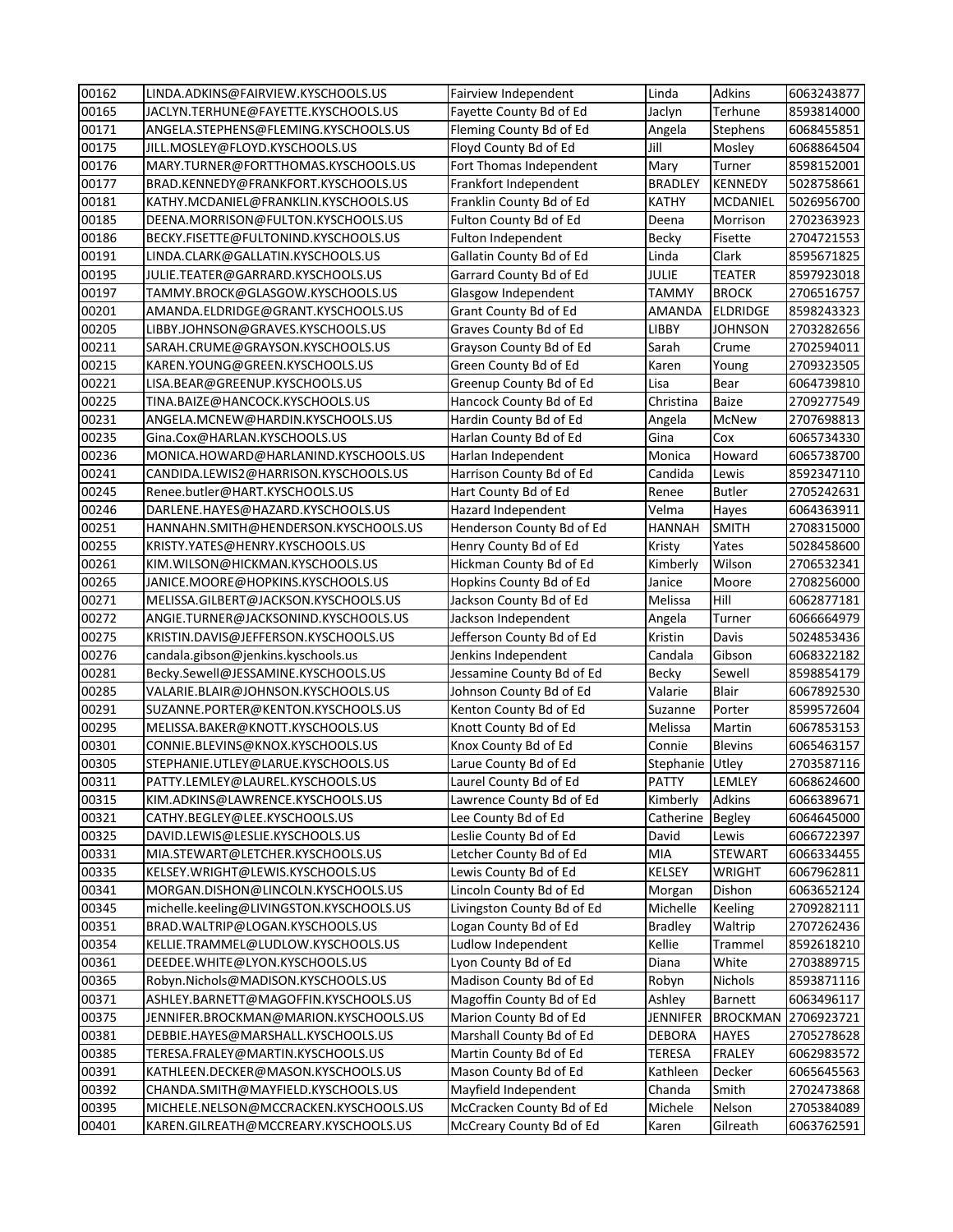| 00162 | LINDA.ADKINS@FAIRVIEW.KYSCHOOLS.US       | Fairview Independent       | Linda           | Adkins          | 6063243877 |
|-------|------------------------------------------|----------------------------|-----------------|-----------------|------------|
| 00165 | JACLYN.TERHUNE@FAYETTE.KYSCHOOLS.US      | Fayette County Bd of Ed    | Jaclyn          | Terhune         | 8593814000 |
| 00171 | ANGELA.STEPHENS@FLEMING.KYSCHOOLS.US     | Fleming County Bd of Ed    | Angela          | <b>Stephens</b> | 6068455851 |
| 00175 | JILL.MOSLEY@FLOYD.KYSCHOOLS.US           | Floyd County Bd of Ed      | Jill            | Mosley          | 6068864504 |
| 00176 | MARY.TURNER@FORTTHOMAS.KYSCHOOLS.US      | Fort Thomas Independent    | Mary            | Turner          | 8598152001 |
| 00177 | BRAD.KENNEDY@FRANKFORT.KYSCHOOLS.US      | Frankfort Independent      | <b>BRADLEY</b>  | <b>KENNEDY</b>  | 5028758661 |
| 00181 | KATHY.MCDANIEL@FRANKLIN.KYSCHOOLS.US     | Franklin County Bd of Ed   | <b>KATHY</b>    | MCDANIEL        | 5026956700 |
| 00185 | DEENA.MORRISON@FULTON.KYSCHOOLS.US       | Fulton County Bd of Ed     | Deena           | Morrison        | 2702363923 |
| 00186 | BECKY.FISETTE@FULTONIND.KYSCHOOLS.US     | Fulton Independent         | <b>Becky</b>    | Fisette         | 2704721553 |
| 00191 | LINDA.CLARK@GALLATIN.KYSCHOOLS.US        | Gallatin County Bd of Ed   | Linda           | Clark           | 8595671825 |
| 00195 | JULIE.TEATER@GARRARD.KYSCHOOLS.US        | Garrard County Bd of Ed    | <b>JULIE</b>    | <b>TEATER</b>   | 8597923018 |
| 00197 | TAMMY.BROCK@GLASGOW.KYSCHOOLS.US         | Glasgow Independent        | <b>TAMMY</b>    | <b>BROCK</b>    | 2706516757 |
| 00201 | AMANDA.ELDRIDGE@GRANT.KYSCHOOLS.US       | Grant County Bd of Ed      | <b>AMANDA</b>   | <b>ELDRIDGE</b> | 8598243323 |
| 00205 | LIBBY.JOHNSON@GRAVES.KYSCHOOLS.US        | Graves County Bd of Ed     | <b>LIBBY</b>    | <b>JOHNSON</b>  | 2703282656 |
| 00211 | SARAH.CRUME@GRAYSON.KYSCHOOLS.US         | Grayson County Bd of Ed    | Sarah           | Crume           | 2702594011 |
| 00215 | KAREN.YOUNG@GREEN.KYSCHOOLS.US           | Green County Bd of Ed      | Karen           | Young           | 2709323505 |
| 00221 | LISA.BEAR@GREENUP.KYSCHOOLS.US           | Greenup County Bd of Ed    | Lisa            | Bear            | 6064739810 |
| 00225 | TINA.BAIZE@HANCOCK.KYSCHOOLS.US          | Hancock County Bd of Ed    | Christina       | <b>Baize</b>    | 2709277549 |
| 00231 | ANGELA.MCNEW@HARDIN.KYSCHOOLS.US         | Hardin County Bd of Ed     | Angela          | <b>McNew</b>    | 2707698813 |
| 00235 | Gina.Cox@HARLAN.KYSCHOOLS.US             | Harlan County Bd of Ed     | Gina            | Cox             | 6065734330 |
| 00236 | MONICA.HOWARD@HARLANIND.KYSCHOOLS.US     | Harlan Independent         | Monica          | Howard          | 6065738700 |
| 00241 | CANDIDA.LEWIS2@HARRISON.KYSCHOOLS.US     | Harrison County Bd of Ed   | Candida         | Lewis           | 8592347110 |
| 00245 | Renee.butler@HART.KYSCHOOLS.US           | Hart County Bd of Ed       | Renee           | <b>Butler</b>   | 2705242631 |
| 00246 | DARLENE.HAYES@HAZARD.KYSCHOOLS.US        | Hazard Independent         | Velma           | Hayes           | 6064363911 |
| 00251 | HANNAHN.SMITH@HENDERSON.KYSCHOOLS.US     | Henderson County Bd of Ed  | <b>HANNAH</b>   | <b>SMITH</b>    | 2708315000 |
| 00255 | KRISTY.YATES@HENRY.KYSCHOOLS.US          | Henry County Bd of Ed      | Kristy          | Yates           | 5028458600 |
| 00261 | KIM. WILSON@HICKMAN.KYSCHOOLS.US         | Hickman County Bd of Ed    | Kimberly        | Wilson          | 2706532341 |
| 00265 | JANICE.MOORE@HOPKINS.KYSCHOOLS.US        | Hopkins County Bd of Ed    | Janice          | Moore           | 2708256000 |
| 00271 | MELISSA.GILBERT@JACKSON.KYSCHOOLS.US     | Jackson County Bd of Ed    | Melissa         | Hill            | 6062877181 |
| 00272 | ANGIE.TURNER@JACKSONIND.KYSCHOOLS.US     | Jackson Independent        | Angela          | Turner          | 6066664979 |
| 00275 | KRISTIN.DAVIS@JEFFERSON.KYSCHOOLS.US     | Jefferson County Bd of Ed  | Kristin         | Davis           | 5024853436 |
| 00276 | candala.gibson@jenkins.kyschools.us      | Jenkins Independent        | Candala         | Gibson          | 6068322182 |
| 00281 | Becky.Sewell@JESSAMINE.KYSCHOOLS.US      | Jessamine County Bd of Ed  | <b>Becky</b>    | Sewell          | 8598854179 |
| 00285 | VALARIE.BLAIR@JOHNSON.KYSCHOOLS.US       | Johnson County Bd of Ed    | Valarie         | <b>Blair</b>    | 6067892530 |
| 00291 | SUZANNE.PORTER@KENTON.KYSCHOOLS.US       | Kenton County Bd of Ed     | Suzanne         | Porter          | 8599572604 |
| 00295 | MELISSA.BAKER@KNOTT.KYSCHOOLS.US         | Knott County Bd of Ed      | Melissa         | Martin          | 6067853153 |
| 00301 | CONNIE.BLEVINS@KNOX.KYSCHOOLS.US         | Knox County Bd of Ed       | Connie          | <b>Blevins</b>  | 6065463157 |
| 00305 | STEPHANIE.UTLEY@LARUE.KYSCHOOLS.US       | Larue County Bd of Ed      | Stephanie       | Utley           | 2703587116 |
| 00311 | PATTY.LEMLEY@LAUREL.KYSCHOOLS.US         | Laurel County Bd of Ed     | <b>PATTY</b>    | LEMLEY          | 6068624600 |
| 00315 | KIM.ADKINS@LAWRENCE.KYSCHOOLS.US         | Lawrence County Bd of Ed   | Kimberly        | Adkins          | 6066389671 |
| 00321 | CATHY.BEGLEY@LEE.KYSCHOOLS.US            | Lee County Bd of Ed        | Catherine       | Begley          | 6064645000 |
| 00325 | DAVID.LEWIS@LESLIE.KYSCHOOLS.US          | Leslie County Bd of Ed     | David           | Lewis           | 6066722397 |
| 00331 | MIA.STEWART@LETCHER.KYSCHOOLS.US         | Letcher County Bd of Ed    | MIA             | <b>STEWART</b>  | 6066334455 |
| 00335 | KELSEY.WRIGHT@LEWIS.KYSCHOOLS.US         | Lewis County Bd of Ed      | <b>KELSEY</b>   | <b>WRIGHT</b>   | 6067962811 |
| 00341 | MORGAN.DISHON@LINCOLN.KYSCHOOLS.US       | Lincoln County Bd of Ed    | Morgan          | Dishon          | 6063652124 |
| 00345 | michelle.keeling@LIVINGSTON.KYSCHOOLS.US | Livingston County Bd of Ed | Michelle        | Keeling         | 2709282111 |
| 00351 | BRAD.WALTRIP@LOGAN.KYSCHOOLS.US          | Logan County Bd of Ed      | <b>Bradley</b>  | Waltrip         | 2707262436 |
| 00354 | KELLIE.TRAMMEL@LUDLOW.KYSCHOOLS.US       | Ludlow Independent         | Kellie          | Trammel         | 8592618210 |
| 00361 | DEEDEE.WHITE@LYON.KYSCHOOLS.US           | Lyon County Bd of Ed       | Diana           | White           | 2703889715 |
| 00365 | Robyn.Nichols@MADISON.KYSCHOOLS.US       | Madison County Bd of Ed    | Robyn           | Nichols         | 8593871116 |
| 00371 | ASHLEY.BARNETT@MAGOFFIN.KYSCHOOLS.US     | Magoffin County Bd of Ed   | Ashley          | <b>Barnett</b>  | 6063496117 |
| 00375 | JENNIFER.BROCKMAN@MARION.KYSCHOOLS.US    | Marion County Bd of Ed     | <b>JENNIFER</b> | <b>BROCKMAN</b> | 2706923721 |
| 00381 | DEBBIE.HAYES@MARSHALL.KYSCHOOLS.US       | Marshall County Bd of Ed   | <b>DEBORA</b>   | <b>HAYES</b>    | 2705278628 |
| 00385 | TERESA.FRALEY@MARTIN.KYSCHOOLS.US        | Martin County Bd of Ed     | <b>TERESA</b>   | <b>FRALEY</b>   | 6062983572 |
| 00391 | KATHLEEN.DECKER@MASON.KYSCHOOLS.US       | Mason County Bd of Ed      | Kathleen        | Decker          | 6065645563 |
| 00392 | CHANDA.SMITH@MAYFIELD.KYSCHOOLS.US       | Mayfield Independent       | Chanda          | Smith           | 2702473868 |
| 00395 | MICHELE.NELSON@MCCRACKEN.KYSCHOOLS.US    | McCracken County Bd of Ed  | Michele         | Nelson          | 2705384089 |
| 00401 | KAREN.GILREATH@MCCREARY.KYSCHOOLS.US     | McCreary County Bd of Ed   | Karen           | Gilreath        | 6063762591 |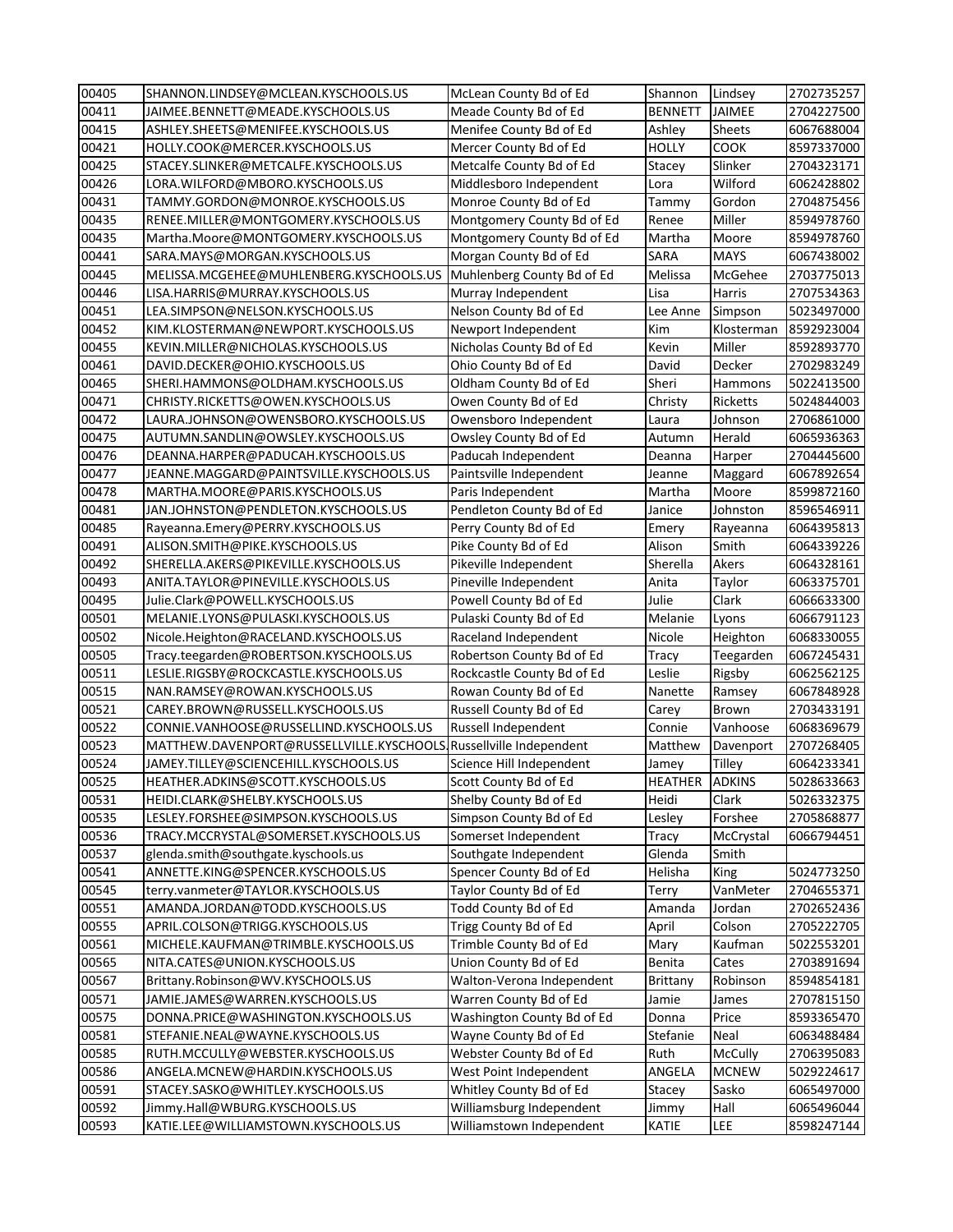| 00405 | SHANNON.LINDSEY@MCLEAN.KYSCHOOLS.US                               | McLean County Bd of Ed     | Shannon         | Lindsey       | 2702735257               |
|-------|-------------------------------------------------------------------|----------------------------|-----------------|---------------|--------------------------|
| 00411 | JAIMEE.BENNETT@MEADE.KYSCHOOLS.US                                 | Meade County Bd of Ed      | <b>BENNETT</b>  | JAIMEE        | 2704227500               |
| 00415 | ASHLEY.SHEETS@MENIFEE.KYSCHOOLS.US                                | Menifee County Bd of Ed    | Ashley          | Sheets        | 6067688004               |
| 00421 | HOLLY.COOK@MERCER.KYSCHOOLS.US                                    | Mercer County Bd of Ed     | <b>HOLLY</b>    | <b>COOK</b>   | 8597337000               |
| 00425 | STACEY.SLINKER@METCALFE.KYSCHOOLS.US                              | Metcalfe County Bd of Ed   | Stacey          | Slinker       | 2704323171               |
| 00426 | LORA.WILFORD@MBORO.KYSCHOOLS.US                                   | Middlesboro Independent    | Lora            | Wilford       | 6062428802               |
| 00431 | TAMMY.GORDON@MONROE.KYSCHOOLS.US                                  | Monroe County Bd of Ed     | Tammy           | Gordon        | 2704875456               |
| 00435 | RENEE.MILLER@MONTGOMERY.KYSCHOOLS.US                              | Montgomery County Bd of Ed | Renee           | Miller        | 8594978760               |
| 00435 | Martha.Moore@MONTGOMERY.KYSCHOOLS.US                              | Montgomery County Bd of Ed | Martha          | Moore         | 8594978760               |
| 00441 | SARA.MAYS@MORGAN.KYSCHOOLS.US                                     | Morgan County Bd of Ed     | SARA            | <b>MAYS</b>   | 6067438002               |
| 00445 | MELISSA.MCGEHEE@MUHLENBERG.KYSCHOOLS.US                           | Muhlenberg County Bd of Ed | Melissa         | McGehee       | 2703775013               |
| 00446 | LISA.HARRIS@MURRAY.KYSCHOOLS.US                                   | Murray Independent         | Lisa            | Harris        | 2707534363               |
| 00451 | LEA.SIMPSON@NELSON.KYSCHOOLS.US                                   | Nelson County Bd of Ed     | Lee Anne        | Simpson       | 5023497000               |
| 00452 | KIM.KLOSTERMAN@NEWPORT.KYSCHOOLS.US                               | Newport Independent        | Kim             | Klosterman    | 8592923004               |
| 00455 | KEVIN.MILLER@NICHOLAS.KYSCHOOLS.US                                | Nicholas County Bd of Ed   | Kevin           | Miller        | 8592893770               |
| 00461 | DAVID.DECKER@OHIO.KYSCHOOLS.US                                    | Ohio County Bd of Ed       | David           | Decker        | 2702983249               |
| 00465 | SHERI.HAMMONS@OLDHAM.KYSCHOOLS.US                                 | Oldham County Bd of Ed     | Sheri           | Hammons       | 5022413500               |
| 00471 | CHRISTY.RICKETTS@OWEN.KYSCHOOLS.US                                | Owen County Bd of Ed       | Christy         | Ricketts      | 5024844003               |
| 00472 | LAURA.JOHNSON@OWENSBORO.KYSCHOOLS.US                              | Owensboro Independent      | Laura           | Johnson       | 2706861000               |
| 00475 | AUTUMN.SANDLIN@OWSLEY.KYSCHOOLS.US                                | Owsley County Bd of Ed     | Autumn          | Herald        | 6065936363               |
| 00476 | DEANNA.HARPER@PADUCAH.KYSCHOOLS.US                                | Paducah Independent        | Deanna          | Harper        | 2704445600               |
| 00477 | JEANNE.MAGGARD@PAINTSVILLE.KYSCHOOLS.US                           | Paintsville Independent    | Jeanne          | Maggard       | 6067892654               |
| 00478 | MARTHA.MOORE@PARIS.KYSCHOOLS.US                                   | Paris Independent          | Martha          | Moore         | 8599872160               |
| 00481 | JAN.JOHNSTON@PENDLETON.KYSCHOOLS.US                               | Pendleton County Bd of Ed  | Janice          | Johnston      | 8596546911               |
| 00485 | Rayeanna.Emery@PERRY.KYSCHOOLS.US                                 | Perry County Bd of Ed      | Emery           | Rayeanna      | 6064395813               |
| 00491 | ALISON.SMITH@PIKE.KYSCHOOLS.US                                    | Pike County Bd of Ed       | Alison          | Smith         | 6064339226               |
| 00492 | SHERELLA.AKERS@PIKEVILLE.KYSCHOOLS.US                             | Pikeville Independent      | Sherella        | Akers         | 6064328161               |
| 00493 |                                                                   |                            | Anita           |               |                          |
|       | ANITA.TAYLOR@PINEVILLE.KYSCHOOLS.US                               | Pineville Independent      |                 | Taylor        | 6063375701               |
| 00495 | Julie.Clark@POWELL.KYSCHOOLS.US                                   | Powell County Bd of Ed     | Julie           | Clark         | 6066633300<br>6066791123 |
| 00501 | MELANIE.LYONS@PULASKI.KYSCHOOLS.US                                | Pulaski County Bd of Ed    | Melanie         | Lyons         |                          |
| 00502 | Nicole.Heighton@RACELAND.KYSCHOOLS.US                             | Raceland Independent       | Nicole          | Heighton      | 6068330055               |
| 00505 | Tracy.teegarden@ROBERTSON.KYSCHOOLS.US                            | Robertson County Bd of Ed  | <b>Tracy</b>    | Teegarden     | 6067245431               |
| 00511 | LESLIE.RIGSBY@ROCKCASTLE.KYSCHOOLS.US                             | Rockcastle County Bd of Ed | Leslie          | Rigsby        | 6062562125               |
| 00515 | NAN.RAMSEY@ROWAN.KYSCHOOLS.US                                     | Rowan County Bd of Ed      | Nanette         | Ramsey        | 6067848928               |
| 00521 | CAREY.BROWN@RUSSELL.KYSCHOOLS.US                                  | Russell County Bd of Ed    | Carey           | Brown         | 2703433191               |
| 00522 | CONNIE.VANHOOSE@RUSSELLIND.KYSCHOOLS.US                           | Russell Independent        | Connie          | Vanhoose      | 6068369679               |
| 00523 | MATTHEW.DAVENPORT@RUSSELLVILLE.KYSCHOOLS Russellville Independent |                            | Matthew         | Davenport     | 2707268405               |
| 00524 | JAMEY.TILLEY@SCIENCEHILL.KYSCHOOLS.US                             | Science Hill Independent   | Jamey           | Tilley        | 6064233341               |
| 00525 | HEATHER.ADKINS@SCOTT.KYSCHOOLS.US                                 | Scott County Bd of Ed      | <b>HEATHER</b>  | <b>ADKINS</b> | 5028633663               |
| 00531 | HEIDI.CLARK@SHELBY.KYSCHOOLS.US                                   | Shelby County Bd of Ed     | Heidi           | Clark         | 5026332375               |
| 00535 | LESLEY.FORSHEE@SIMPSON.KYSCHOOLS.US                               | Simpson County Bd of Ed    | Lesley          | Forshee       | 2705868877               |
| 00536 | TRACY.MCCRYSTAL@SOMERSET.KYSCHOOLS.US                             | Somerset Independent       | Tracy           | McCrystal     | 6066794451               |
| 00537 | glenda.smith@southgate.kyschools.us                               | Southgate Independent      | Glenda          | Smith         |                          |
| 00541 | ANNETTE.KING@SPENCER.KYSCHOOLS.US                                 | Spencer County Bd of Ed    | Helisha         | King          | 5024773250               |
| 00545 | terry.vanmeter@TAYLOR.KYSCHOOLS.US                                | Taylor County Bd of Ed     | Terry           | VanMeter      | 2704655371               |
| 00551 | AMANDA.JORDAN@TODD.KYSCHOOLS.US                                   | Todd County Bd of Ed       | Amanda          | Jordan        | 2702652436               |
| 00555 | APRIL.COLSON@TRIGG.KYSCHOOLS.US                                   | Trigg County Bd of Ed      | April           | Colson        | 2705222705               |
| 00561 | MICHELE.KAUFMAN@TRIMBLE.KYSCHOOLS.US                              | Trimble County Bd of Ed    | Mary            | Kaufman       | 5022553201               |
| 00565 | NITA.CATES@UNION.KYSCHOOLS.US                                     | Union County Bd of Ed      | Benita          | Cates         | 2703891694               |
| 00567 | Brittany.Robinson@WV.KYSCHOOLS.US                                 | Walton-Verona Independent  | <b>Brittany</b> | Robinson      | 8594854181               |
| 00571 | JAMIE.JAMES@WARREN.KYSCHOOLS.US                                   | Warren County Bd of Ed     | Jamie           | James         | 2707815150               |
| 00575 | DONNA.PRICE@WASHINGTON.KYSCHOOLS.US                               | Washington County Bd of Ed | Donna           | Price         | 8593365470               |
| 00581 | STEFANIE.NEAL@WAYNE.KYSCHOOLS.US                                  | Wayne County Bd of Ed      | Stefanie        | Neal          | 6063488484               |
| 00585 | RUTH.MCCULLY@WEBSTER.KYSCHOOLS.US                                 | Webster County Bd of Ed    | Ruth            | McCully       | 2706395083               |
| 00586 | ANGELA.MCNEW@HARDIN.KYSCHOOLS.US                                  | West Point Independent     | ANGELA          | <b>MCNEW</b>  | 5029224617               |
| 00591 | STACEY.SASKO@WHITLEY.KYSCHOOLS.US                                 | Whitley County Bd of Ed    | Stacey          | Sasko         | 6065497000               |
| 00592 | Jimmy.Hall@WBURG.KYSCHOOLS.US                                     | Williamsburg Independent   | Jimmy           | Hall          | 6065496044               |
| 00593 | KATIE.LEE@WILLIAMSTOWN.KYSCHOOLS.US                               | Williamstown Independent   | <b>KATIE</b>    | LEE           | 8598247144               |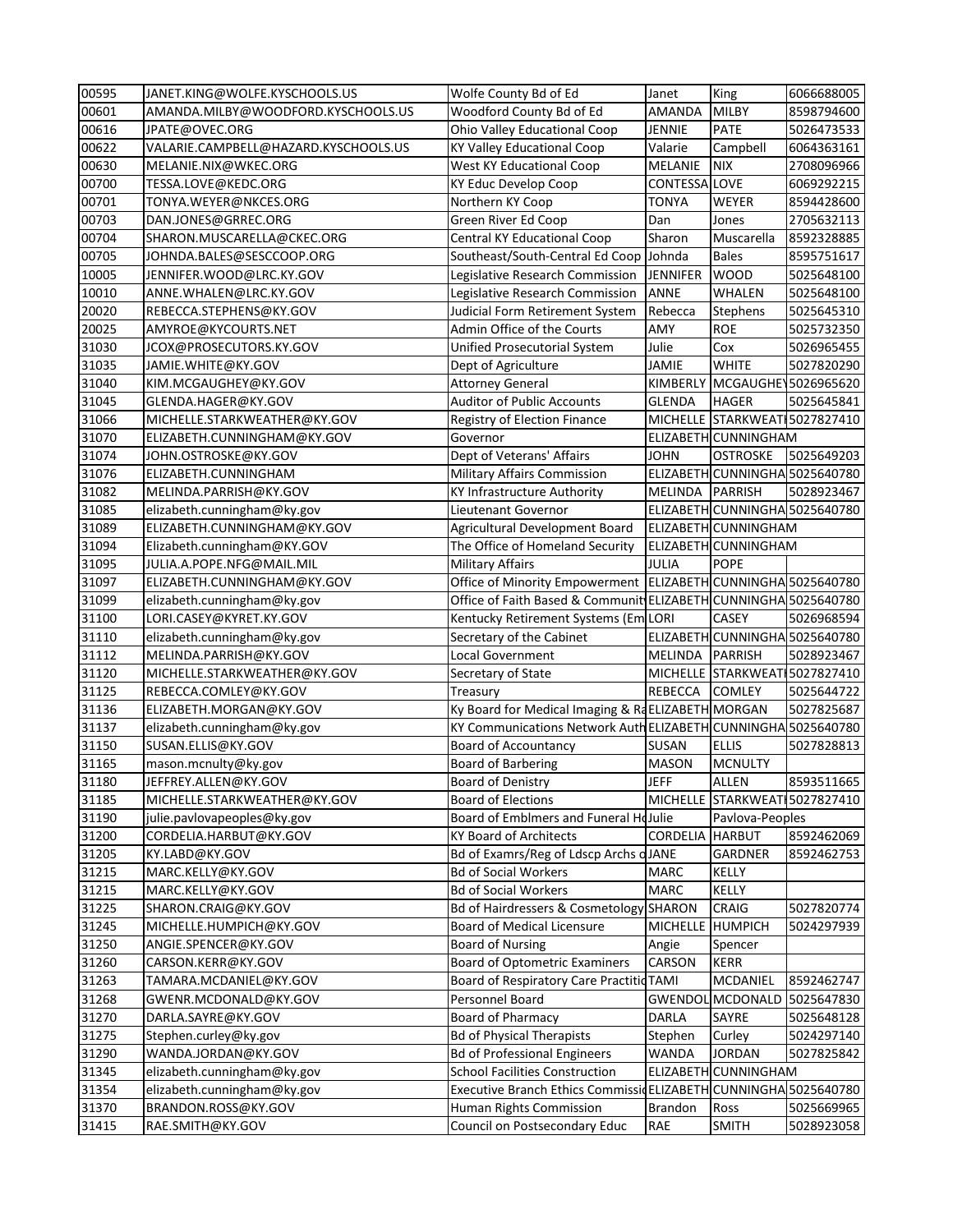| 00595          | JANET.KING@WOLFE.KYSCHOOLS.US           | Wolfe County Bd of Ed                                           | Janet                        | King                           | 6066688005               |
|----------------|-----------------------------------------|-----------------------------------------------------------------|------------------------------|--------------------------------|--------------------------|
| 00601          | AMANDA.MILBY@WOODFORD.KYSCHOOLS.US      | Woodford County Bd of Ed                                        | <b>AMANDA</b>                | <b>MILBY</b>                   | 8598794600               |
| 00616          | JPATE@OVEC.ORG                          | Ohio Valley Educational Coop                                    | JENNIE                       | <b>PATE</b>                    | 5026473533               |
| 00622          | VALARIE.CAMPBELL@HAZARD.KYSCHOOLS.US    | <b>KY Valley Educational Coop</b>                               | Valarie                      | Campbell                       | 6064363161               |
| 00630          | MELANIE.NIX@WKEC.ORG                    | <b>West KY Educational Coop</b>                                 | <b>MELANIE</b>               | <b>NIX</b>                     | 2708096966               |
| 00700          | TESSA.LOVE@KEDC.ORG                     | KY Educ Develop Coop                                            | <b>CONTESSA LOVE</b>         |                                | 6069292215               |
| 00701          | TONYA.WEYER@NKCES.ORG                   | Northern KY Coop                                                | <b>TONYA</b>                 | <b>WEYER</b>                   | 8594428600               |
| 00703          | DAN.JONES@GRREC.ORG                     | Green River Ed Coop                                             | Dan                          | Jones                          | 2705632113               |
| 00704          | SHARON.MUSCARELLA@CKEC.ORG              | <b>Central KY Educational Coop</b>                              | Sharon                       | Muscarella                     | 8592328885               |
| 00705          | JOHNDA.BALES@SESCCOOP.ORG               | Southeast/South-Central Ed Coop Johnda                          |                              | <b>Bales</b>                   | 8595751617               |
| 10005          | JENNIFER.WOOD@LRC.KY.GOV                | Legislative Research Commission                                 | <b>JENNIFER</b>              | <b>WOOD</b>                    | 5025648100               |
| 10010          | ANNE.WHALEN@LRC.KY.GOV                  | Legislative Research Commission                                 | <b>ANNE</b>                  | <b>WHALEN</b>                  | 5025648100               |
| 20020          | REBECCA.STEPHENS@KY.GOV                 | Judicial Form Retirement System                                 | Rebecca                      | Stephens                       | 5025645310               |
| 20025          | AMYROE@KYCOURTS.NET                     | Admin Office of the Courts                                      | AMY                          | <b>ROE</b>                     | 5025732350               |
| 31030          | JCOX@PROSECUTORS.KY.GOV                 | Unified Prosecutorial System                                    | Julie                        | Cox                            | 5026965455               |
| 31035          | JAMIE.WHITE@KY.GOV                      | Dept of Agriculture                                             | <b>JAMIE</b>                 | <b>WHITE</b>                   | 5027820290               |
| 31040          | KIM.MCGAUGHEY@KY.GOV                    | <b>Attorney General</b>                                         | <b>KIMBERLY</b>              | MCGAUGHE 5026965620            |                          |
| 31045          | GLENDA.HAGER@KY.GOV                     | <b>Auditor of Public Accounts</b>                               | <b>GLENDA</b>                | <b>HAGER</b>                   | 5025645841               |
| 31066          | MICHELLE.STARKWEATHER@KY.GOV            | Registry of Election Finance                                    |                              | MICHELLE STARKWEAT 5027827410  |                          |
| 31070          | ELIZABETH.CUNNINGHAM@KY.GOV             | Governor                                                        |                              | ELIZABETH CUNNINGHAM           |                          |
| 31074          | JOHN.OSTROSKE@KY.GOV                    | Dept of Veterans' Affairs                                       | <b>JOHN</b>                  | <b>OSTROSKE</b>                | 5025649203               |
| 31076          | ELIZABETH.CUNNINGHAM                    | <b>Military Affairs Commission</b>                              |                              | ELIZABETH CUNNINGHA 5025640780 |                          |
| 31082          | MELINDA.PARRISH@KY.GOV                  | KY Infrastructure Authority                                     | MELINDA PARRISH              |                                | 5028923467               |
| 31085          | elizabeth.cunningham@ky.gov             | Lieutenant Governor                                             |                              | ELIZABETH CUNNINGHA 5025640780 |                          |
| 31089          | ELIZABETH.CUNNINGHAM@KY.GOV             | Agricultural Development Board                                  |                              | ELIZABETH CUNNINGHAM           |                          |
| 31094          | Elizabeth.cunningham@KY.GOV             | The Office of Homeland Security                                 |                              | ELIZABETH CUNNINGHAM           |                          |
| 31095          | JULIA.A.POPE.NFG@MAIL.MIL               | <b>Military Affairs</b>                                         | JULIA                        | <b>POPE</b>                    |                          |
| 31097          | ELIZABETH.CUNNINGHAM@KY.GOV             | Office of Minority Empowerment   ELIZABETH CUNNINGHA 5025640780 |                              |                                |                          |
| 31099          | elizabeth.cunningham@ky.gov             | Office of Faith Based & Communit ELIZABETH CUNNINGHA 5025640780 |                              |                                |                          |
| 31100          | LORI.CASEY@KYRET.KY.GOV                 | Kentucky Retirement Systems (Em LORI                            |                              | <b>CASEY</b>                   | 5026968594               |
| 31110          | elizabeth.cunningham@ky.gov             | Secretary of the Cabinet                                        |                              | ELIZABETH CUNNINGHA 5025640780 |                          |
| 31112          | MELINDA.PARRISH@KY.GOV                  | Local Government                                                | MELINDA PARRISH              |                                | 5028923467               |
| 31120          | MICHELLE.STARKWEATHER@KY.GOV            | Secretary of State                                              |                              | MICHELLE STARKWEATI            | 5027827410               |
| 31125          | REBECCA.COMLEY@KY.GOV                   | Treasury                                                        | REBECCA COMLEY               |                                | 5025644722               |
| 31136          | ELIZABETH.MORGAN@KY.GOV                 | Ky Board for Medical Imaging & RaELIZABETH MORGAN               |                              |                                | 5027825687               |
| 31137          | elizabeth.cunningham@ky.gov             | KY Communications Network AuthELIZABETH CUNNINGHA 5025640780    |                              |                                |                          |
| 31150          | SUSAN.ELLIS@KY.GOV                      | <b>Board of Accountancy</b>                                     | <b>SUSAN</b>                 | <b>ELLIS</b>                   | 5027828813               |
| 31165          | mason.mcnulty@ky.gov                    | <b>Board of Barbering</b>                                       | <b>MASON</b>                 | <b>MCNULTY</b>                 |                          |
| 31180          | JEFFREY.ALLEN@KY.GOV                    | <b>Board of Denistry</b>                                        | <b>JEFF</b>                  | <b>ALLEN</b>                   | 8593511665               |
| 31185          | MICHELLE.STARKWEATHER@KY.GOV            | <b>Board of Elections</b>                                       |                              | MICHELLE STARKWEATI            | 5027827410               |
| 31190          | julie.pavlovapeoples@ky.gov             | Board of Emblmers and Funeral HoJulie                           |                              | Pavlova-Peoples                |                          |
| 31200          | CORDELIA.HARBUT@KY.GOV                  | <b>KY Board of Architects</b>                                   | <b>CORDELIA</b>              | <b>HARBUT</b>                  | 8592462069               |
| 31205          | KY.LABD@KY.GOV                          | Bd of Examrs/Reg of Ldscp Archs oJANE                           |                              | <b>GARDNER</b>                 | 8592462753               |
| 31215          | MARC.KELLY@KY.GOV                       | <b>Bd of Social Workers</b>                                     | <b>MARC</b>                  | KELLY                          |                          |
| 31215          | MARC.KELLY@KY.GOV                       | <b>Bd of Social Workers</b>                                     | <b>MARC</b>                  | <b>KELLY</b>                   |                          |
| 31225          | SHARON.CRAIG@KY.GOV                     | Bd of Hairdressers & Cosmetology SHARON                         |                              | <b>CRAIG</b>                   | 5027820774               |
| 31245          | MICHELLE.HUMPICH@KY.GOV                 | <b>Board of Medical Licensure</b>                               | MICHELLE HUMPICH             |                                | 5024297939               |
| 31250          | ANGIE.SPENCER@KY.GOV                    | <b>Board of Nursing</b>                                         | Angie                        | Spencer                        |                          |
| 31260          | CARSON.KERR@KY.GOV                      | <b>Board of Optometric Examiners</b>                            | CARSON                       | <b>KERR</b>                    |                          |
| 31263          | TAMARA.MCDANIEL@KY.GOV                  | Board of Respiratory Care Practitid TAMI                        |                              | <b>MCDANIEL</b>                | 8592462747               |
| 31268          | GWENR.MCDONALD@KY.GOV                   | Personnel Board                                                 |                              | GWENDOL MCDONALD               | 5025647830               |
| 31270          | DARLA.SAYRE@KY.GOV                      | <b>Board of Pharmacy</b>                                        | <b>DARLA</b>                 | SAYRE                          | 5025648128               |
| 31275          | Stephen.curley@ky.gov                   | <b>Bd of Physical Therapists</b>                                | Stephen                      | Curley                         | 5024297140               |
| 31290          | WANDA.JORDAN@KY.GOV                     | <b>Bd of Professional Engineers</b>                             | <b>WANDA</b>                 | <b>JORDAN</b>                  | 5027825842               |
| 31345          | elizabeth.cunningham@ky.gov             | <b>School Facilities Construction</b>                           |                              | ELIZABETH CUNNINGHAM           |                          |
| 31354          |                                         |                                                                 |                              |                                |                          |
|                | elizabeth.cunningham@ky.gov             | Executive Branch Ethics CommissidELIZABETH CUNNINGHA 5025640780 |                              |                                |                          |
| 31370<br>31415 | BRANDON.ROSS@KY.GOV<br>RAE.SMITH@KY.GOV | Human Rights Commission<br>Council on Postsecondary Educ        | <b>Brandon</b><br><b>RAE</b> | Ross<br><b>SMITH</b>           | 5025669965<br>5028923058 |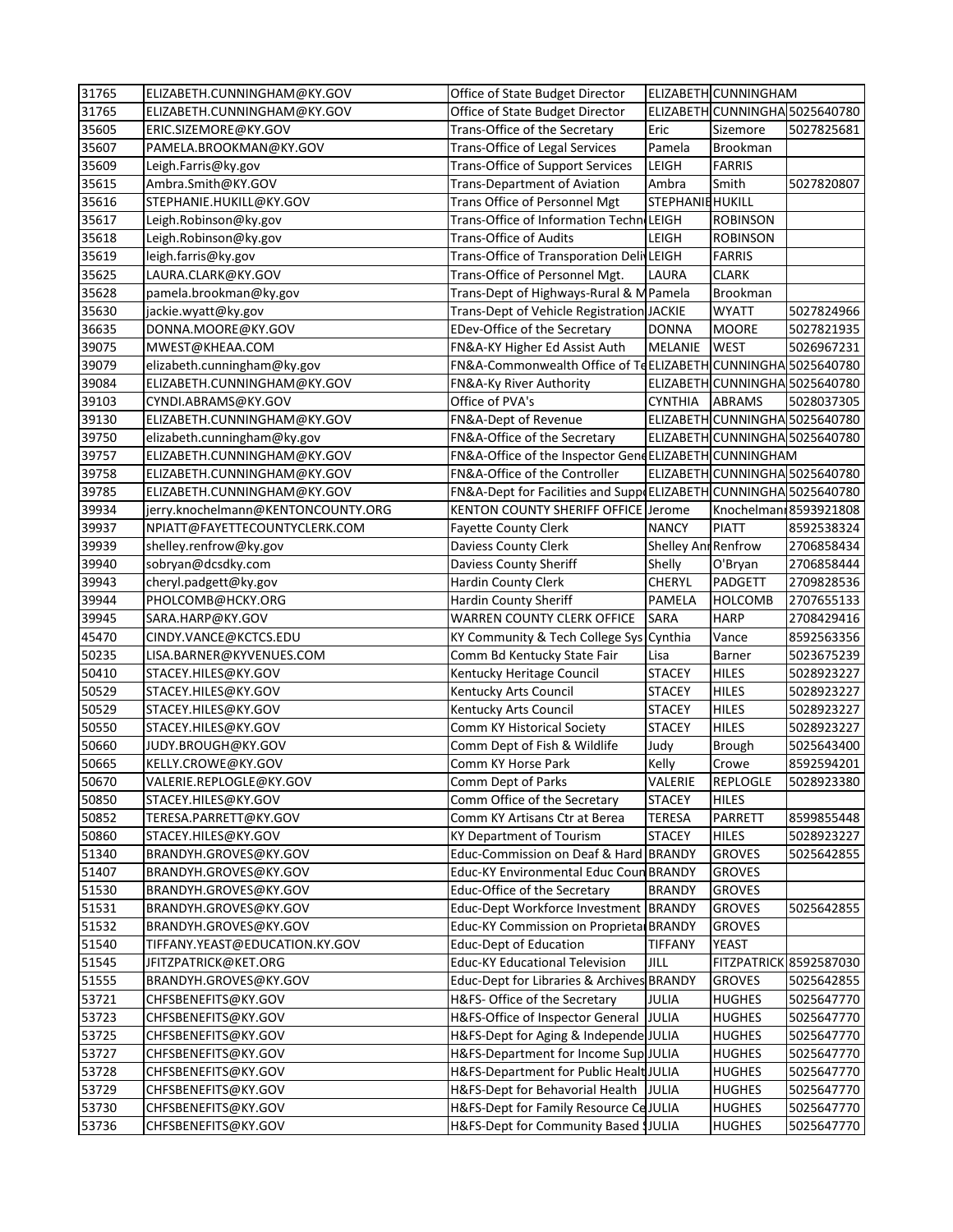| 31765 | ELIZABETH.CUNNINGHAM@KY.GOV        | Office of State Budget Director                                     |                         | ELIZABETH CUNNINGHAM           |                                |
|-------|------------------------------------|---------------------------------------------------------------------|-------------------------|--------------------------------|--------------------------------|
| 31765 | ELIZABETH.CUNNINGHAM@KY.GOV        | Office of State Budget Director                                     |                         |                                | ELIZABETH CUNNINGHA 5025640780 |
| 35605 | ERIC.SIZEMORE@KY.GOV               | Trans-Office of the Secretary                                       | Eric                    | Sizemore                       | 5027825681                     |
| 35607 | PAMELA.BROOKMAN@KY.GOV             | <b>Trans-Office of Legal Services</b>                               | Pamela                  | Brookman                       |                                |
| 35609 | Leigh.Farris@ky.gov                | <b>Trans-Office of Support Services</b>                             | LEIGH                   | <b>FARRIS</b>                  |                                |
| 35615 | Ambra.Smith@KY.GOV                 | <b>Trans-Department of Aviation</b>                                 | Ambra                   | Smith                          | 5027820807                     |
| 35616 | STEPHANIE.HUKILL@KY.GOV            | Trans Office of Personnel Mgt                                       | <b>STEPHANIE HUKILL</b> |                                |                                |
| 35617 | Leigh.Robinson@ky.gov              | Trans-Office of Information Techn LEIGH                             |                         | <b>ROBINSON</b>                |                                |
| 35618 | Leigh.Robinson@ky.gov              | <b>Trans-Office of Audits</b>                                       | LEIGH                   | <b>ROBINSON</b>                |                                |
| 35619 | leigh.farris@ky.gov                | Trans-Office of Transporation DelivLEIGH                            |                         | <b>FARRIS</b>                  |                                |
| 35625 | LAURA.CLARK@KY.GOV                 | Trans-Office of Personnel Mgt.                                      | LAURA                   | <b>CLARK</b>                   |                                |
| 35628 | pamela.brookman@ky.gov             | Trans-Dept of Highways-Rural & MPamela                              |                         | Brookman                       |                                |
| 35630 | jackie.wyatt@ky.gov                | Trans-Dept of Vehicle Registration JACKIE                           |                         | <b>WYATT</b>                   | 5027824966                     |
| 36635 | DONNA.MOORE@KY.GOV                 | EDev-Office of the Secretary                                        | <b>DONNA</b>            | <b>MOORE</b>                   | 5027821935                     |
| 39075 | MWEST@KHEAA.COM                    | FN&A-KY Higher Ed Assist Auth                                       | <b>MELANIE</b>          | <b>WEST</b>                    | 5026967231                     |
| 39079 | elizabeth.cunningham@ky.gov        | FN&A-Commonwealth Office of TeELIZABETH CUNNINGHA 5025640780        |                         |                                |                                |
| 39084 | ELIZABETH.CUNNINGHAM@KY.GOV        | FN&A-Ky River Authority                                             |                         |                                | ELIZABETH CUNNINGHA 5025640780 |
| 39103 | CYNDI.ABRAMS@KY.GOV                | Office of PVA's                                                     | <b>CYNTHIA</b>          | <b>ABRAMS</b>                  | 5028037305                     |
| 39130 | ELIZABETH.CUNNINGHAM@KY.GOV        | FN&A-Dept of Revenue                                                |                         |                                | ELIZABETH CUNNINGHA 5025640780 |
| 39750 | elizabeth.cunningham@ky.gov        | FN&A-Office of the Secretary                                        |                         | ELIZABETH CUNNINGHA 5025640780 |                                |
| 39757 | ELIZABETH.CUNNINGHAM@KY.GOV        | FN&A-Office of the Inspector GendELIZABETH CUNNINGHAM               |                         |                                |                                |
| 39758 | ELIZABETH.CUNNINGHAM@KY.GOV        | FN&A-Office of the Controller                                       |                         |                                | ELIZABETH CUNNINGHA 5025640780 |
| 39785 | ELIZABETH.CUNNINGHAM@KY.GOV        | FN&A-Dept for Facilities and Support ELIZABETH CUNNINGHA 5025640780 |                         |                                |                                |
| 39934 | jerry.knochelmann@KENTONCOUNTY.ORG | KENTON COUNTY SHERIFF OFFICE Jerome                                 |                         |                                | Knochelmanı 8593921808         |
| 39937 | NPIATT@FAYETTECOUNTYCLERK.COM      | <b>Fayette County Clerk</b>                                         | <b>NANCY</b>            | <b>PIATT</b>                   | 8592538324                     |
| 39939 | shelley.renfrow@ky.gov             | <b>Daviess County Clerk</b>                                         | Shelley Anr Renfrow     |                                | 2706858434                     |
| 39940 | sobryan@dcsdky.com                 | <b>Daviess County Sheriff</b>                                       | Shelly                  | O'Bryan                        | 2706858444                     |
| 39943 | cheryl.padgett@ky.gov              | <b>Hardin County Clerk</b>                                          | <b>CHERYL</b>           | <b>PADGETT</b>                 | 2709828536                     |
| 39944 | PHOLCOMB@HCKY.ORG                  | <b>Hardin County Sheriff</b>                                        | <b>PAMELA</b>           | <b>HOLCOMB</b>                 | 2707655133                     |
| 39945 | SARA.HARP@KY.GOV                   | <b>WARREN COUNTY CLERK OFFICE</b>                                   | SARA                    | <b>HARP</b>                    | 2708429416                     |
| 45470 | CINDY.VANCE@KCTCS.EDU              | KY Community & Tech College Sys Cynthia                             |                         | Vance                          | 8592563356                     |
| 50235 | LISA.BARNER@KYVENUES.COM           | Comm Bd Kentucky State Fair                                         | Lisa                    | Barner                         | 5023675239                     |
| 50410 | STACEY.HILES@KY.GOV                | Kentucky Heritage Council                                           | <b>STACEY</b>           | <b>HILES</b>                   | 5028923227                     |
| 50529 | STACEY.HILES@KY.GOV                | Kentucky Arts Council                                               | <b>STACEY</b>           | <b>HILES</b>                   | 5028923227                     |
| 50529 | STACEY.HILES@KY.GOV                | Kentucky Arts Council                                               | <b>STACEY</b>           | <b>HILES</b>                   | 5028923227                     |
| 50550 | STACEY.HILES@KY.GOV                | <b>Comm KY Historical Society</b>                                   | <b>STACEY</b>           | <b>HILES</b>                   | 5028923227                     |
| 50660 | JUDY.BROUGH@KY.GOV                 | Comm Dept of Fish & Wildlife                                        | Judy                    | Brough                         | 5025643400                     |
| 50665 | KELLY.CROWE@KY.GOV                 | Comm KY Horse Park                                                  | Kelly                   | Crowe                          | 8592594201                     |
| 50670 | VALERIE.REPLOGLE@KY.GOV            | Comm Dept of Parks                                                  | VALERIE                 | <b>REPLOGLE</b>                | 5028923380                     |
| 50850 | STACEY.HILES@KY.GOV                | Comm Office of the Secretary                                        | <b>STACEY</b>           | <b>HILES</b>                   |                                |
| 50852 | TERESA.PARRETT@KY.GOV              | Comm KY Artisans Ctr at Berea                                       | <b>TERESA</b>           | PARRETT                        | 8599855448                     |
| 50860 | STACEY.HILES@KY.GOV                | <b>KY Department of Tourism</b>                                     | <b>STACEY</b>           | <b>HILES</b>                   | 5028923227                     |
| 51340 | BRANDYH.GROVES@KY.GOV              | Educ-Commission on Deaf & Hard BRANDY                               |                         | <b>GROVES</b>                  | 5025642855                     |
| 51407 | BRANDYH.GROVES@KY.GOV              | Educ-KY Environmental Educ Coun BRANDY                              |                         | <b>GROVES</b>                  |                                |
| 51530 | BRANDYH.GROVES@KY.GOV              | Educ-Office of the Secretary                                        | <b>BRANDY</b>           | <b>GROVES</b>                  |                                |
| 51531 | BRANDYH.GROVES@KY.GOV              | Educ-Dept Workforce Investment   BRANDY                             |                         | <b>GROVES</b>                  | 5025642855                     |
| 51532 | BRANDYH.GROVES@KY.GOV              | Educ-KY Commission on Proprieta BRANDY                              |                         | <b>GROVES</b>                  |                                |
| 51540 | TIFFANY.YEAST@EDUCATION.KY.GOV     | <b>Educ-Dept of Education</b>                                       | <b>TIFFANY</b>          | <b>YEAST</b>                   |                                |
| 51545 | JFITZPATRICK@KET.ORG               | <b>Educ-KY Educational Television</b>                               | JILL                    |                                | FITZPATRICK 8592587030         |
| 51555 | BRANDYH.GROVES@KY.GOV              | Educ-Dept for Libraries & Archives BRANDY                           |                         | <b>GROVES</b>                  | 5025642855                     |
| 53721 | CHFSBENEFITS@KY.GOV                | H&FS- Office of the Secretary                                       | <b>JULIA</b>            | <b>HUGHES</b>                  | 5025647770                     |
| 53723 | CHFSBENEFITS@KY.GOV                | H&FS-Office of Inspector General JJULIA                             |                         | <b>HUGHES</b>                  | 5025647770                     |
| 53725 | CHFSBENEFITS@KY.GOV                | H&FS-Dept for Aging & Independe JULIA                               |                         | <b>HUGHES</b>                  | 5025647770                     |
| 53727 | CHFSBENEFITS@KY.GOV                | H&FS-Department for Income Sup JULIA                                |                         | <b>HUGHES</b>                  | 5025647770                     |
| 53728 | CHFSBENEFITS@KY.GOV                | H&FS-Department for Public Healt JULIA                              |                         | <b>HUGHES</b>                  | 5025647770                     |
| 53729 | CHFSBENEFITS@KY.GOV                | H&FS-Dept for Behavorial Health JJULIA                              |                         | <b>HUGHES</b>                  | 5025647770                     |
| 53730 | CHFSBENEFITS@KY.GOV                | H&FS-Dept for Family Resource CeJULIA                               |                         | <b>HUGHES</b>                  | 5025647770                     |
| 53736 | CHFSBENEFITS@KY.GOV                | H&FS-Dept for Community Based \$JULIA                               |                         | <b>HUGHES</b>                  | 5025647770                     |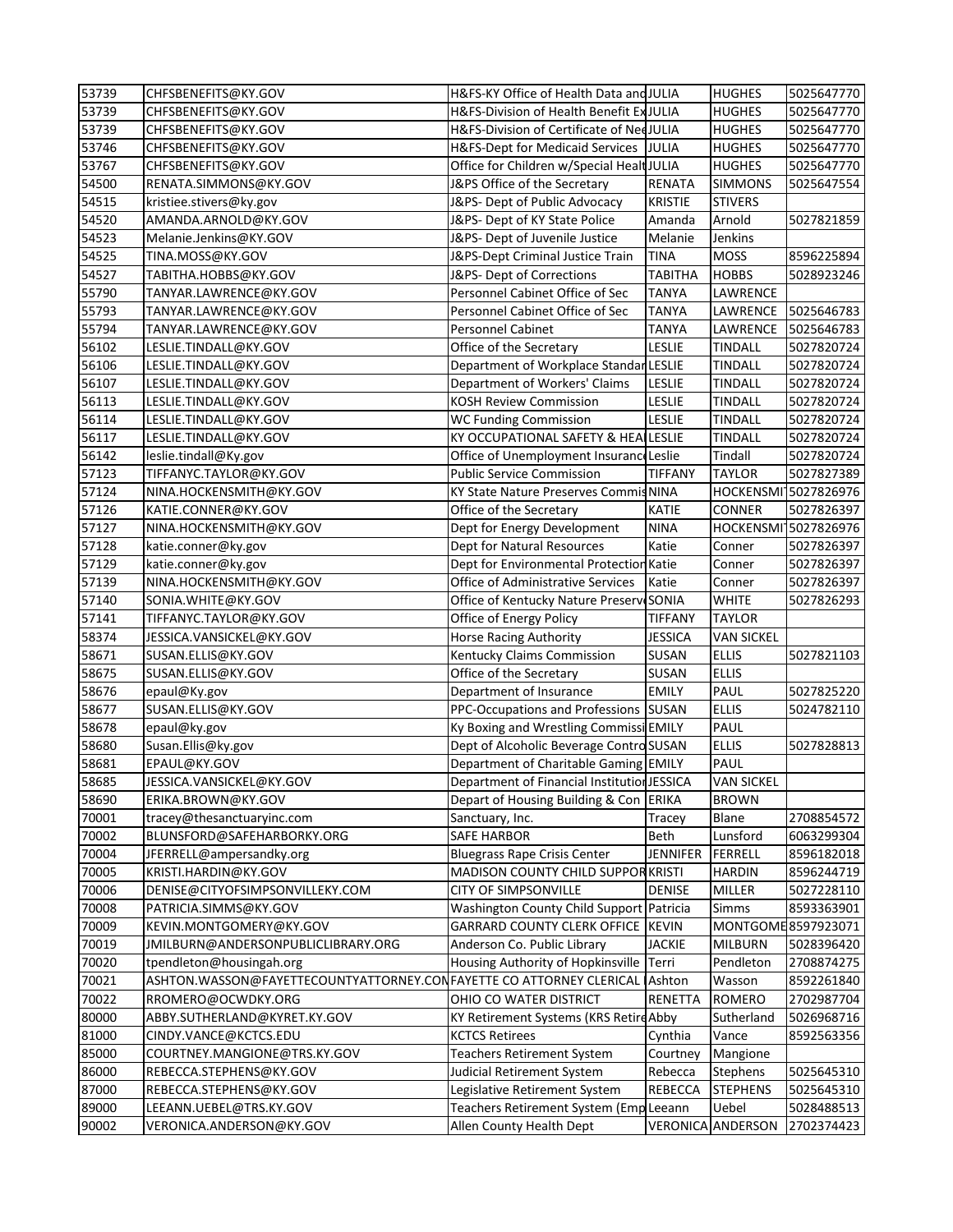| 53739          | CHFSBENEFITS@KY.GOV                                                                               | H&FS-KY Office of Health Data and JULIA     |                 | <b>HUGHES</b>            | 5025647770               |
|----------------|---------------------------------------------------------------------------------------------------|---------------------------------------------|-----------------|--------------------------|--------------------------|
| 53739          | CHFSBENEFITS@KY.GOV                                                                               | H&FS-Division of Health Benefit Ex JULIA    |                 | <b>HUGHES</b>            | 5025647770               |
| 53739          | CHFSBENEFITS@KY.GOV                                                                               | H&FS-Division of Certificate of NedJULIA    |                 | <b>HUGHES</b>            | 5025647770               |
| 53746          | CHFSBENEFITS@KY.GOV                                                                               | H&FS-Dept for Medicaid Services             | JULIA           | <b>HUGHES</b>            | 5025647770               |
| 53767          | CHFSBENEFITS@KY.GOV                                                                               | Office for Children w/Special HealtJULIA    |                 | <b>HUGHES</b>            | 5025647770               |
| 54500          | RENATA.SIMMONS@KY.GOV                                                                             | J&PS Office of the Secretary                | <b>RENATA</b>   | <b>SIMMONS</b>           | 5025647554               |
| 54515          | kristiee.stivers@ky.gov                                                                           | J&PS-Dept of Public Advocacy                | <b>KRISTIE</b>  | <b>STIVERS</b>           |                          |
| 54520          | AMANDA.ARNOLD@KY.GOV                                                                              | J&PS- Dept of KY State Police               | Amanda          | Arnold                   | 5027821859               |
| 54523          | Melanie.Jenkins@KY.GOV                                                                            | J&PS- Dept of Juvenile Justice              | Melanie         | Jenkins                  |                          |
| 54525          | TINA.MOSS@KY.GOV                                                                                  | J&PS-Dept Criminal Justice Train            | <b>TINA</b>     | <b>MOSS</b>              | 8596225894               |
| 54527          | TABITHA.HOBBS@KY.GOV                                                                              | J&PS- Dept of Corrections                   | <b>TABITHA</b>  | <b>HOBBS</b>             | 5028923246               |
| 55790          | TANYAR.LAWRENCE@KY.GOV                                                                            | Personnel Cabinet Office of Sec             | <b>TANYA</b>    | LAWRENCE                 |                          |
| 55793          | TANYAR.LAWRENCE@KY.GOV                                                                            | Personnel Cabinet Office of Sec             | <b>TANYA</b>    | LAWRENCE                 | 5025646783               |
| 55794          | TANYAR.LAWRENCE@KY.GOV                                                                            | <b>Personnel Cabinet</b>                    | <b>TANYA</b>    | LAWRENCE                 | 5025646783               |
| 56102          | LESLIE.TINDALL@KY.GOV                                                                             | Office of the Secretary                     | <b>LESLIE</b>   | <b>TINDALL</b>           | 5027820724               |
| 56106          | LESLIE.TINDALL@KY.GOV                                                                             | Department of Workplace Standar LESLIE      |                 | <b>TINDALL</b>           | 5027820724               |
| 56107          | LESLIE.TINDALL@KY.GOV                                                                             | Department of Workers' Claims               | <b>LESLIE</b>   | <b>TINDALL</b>           | 5027820724               |
| 56113          | LESLIE.TINDALL@KY.GOV                                                                             | <b>KOSH Review Commission</b>               | <b>LESLIE</b>   | <b>TINDALL</b>           | 5027820724               |
| 56114          | LESLIE.TINDALL@KY.GOV                                                                             | <b>WC Funding Commission</b>                | <b>LESLIE</b>   | <b>TINDALL</b>           | 5027820724               |
| 56117          | LESLIE.TINDALL@KY.GOV                                                                             | KY OCCUPATIONAL SAFETY & HEALLESLIE         |                 | <b>TINDALL</b>           | 5027820724               |
| 56142          | leslie.tindall@Ky.gov                                                                             | Office of Unemployment Insurance Leslie     |                 | Tindall                  | 5027820724               |
| 57123          | TIFFANYC.TAYLOR@KY.GOV                                                                            | <b>Public Service Commission</b>            | <b>TIFFANY</b>  | <b>TAYLOR</b>            | 5027827389               |
| 57124          | NINA.HOCKENSMITH@KY.GOV                                                                           | KY State Nature Preserves Commis NINA       |                 |                          | HOCKENSMI 5027826976     |
| 57126          | KATIE.CONNER@KY.GOV                                                                               | Office of the Secretary                     | <b>KATIE</b>    | <b>CONNER</b>            | 5027826397               |
| 57127          | NINA.HOCKENSMITH@KY.GOV                                                                           | Dept for Energy Development                 | <b>NINA</b>     |                          | HOCKENSMI 5027826976     |
| 57128          | katie.conner@ky.gov                                                                               | Dept for Natural Resources                  | Katie           | Conner                   | 5027826397               |
| 57129          | katie.conner@ky.gov                                                                               | Dept for Environmental Protection Katie     |                 | Conner                   | 5027826397               |
| 57139          | NINA.HOCKENSMITH@KY.GOV                                                                           | <b>Office of Administrative Services</b>    | Katie           | Conner                   | 5027826397               |
| 57140          | SONIA.WHITE@KY.GOV                                                                                | Office of Kentucky Nature Preserve SONIA    |                 | <b>WHITE</b>             | 5027826293               |
| 57141          | TIFFANYC.TAYLOR@KY.GOV                                                                            | Office of Energy Policy                     | <b>TIFFANY</b>  | <b>TAYLOR</b>            |                          |
| 58374          | JESSICA.VANSICKEL@KY.GOV                                                                          | <b>Horse Racing Authority</b>               | <b>JESSICA</b>  | <b>VAN SICKEL</b>        |                          |
| 58671          | SUSAN.ELLIS@KY.GOV                                                                                | Kentucky Claims Commission                  | <b>SUSAN</b>    | <b>ELLIS</b>             | 5027821103               |
| 58675          | SUSAN.ELLIS@KY.GOV                                                                                | Office of the Secretary                     | <b>SUSAN</b>    | <b>ELLIS</b>             |                          |
| 58676          | epaul@Ky.gov                                                                                      | Department of Insurance                     | <b>EMILY</b>    | PAUL                     | 5027825220               |
| 58677          | SUSAN.ELLIS@KY.GOV                                                                                | PPC-Occupations and Professions SUSAN       |                 | <b>ELLIS</b>             | 5024782110               |
| 58678          | epaul@ky.gov                                                                                      | Ky Boxing and Wrestling Commissi EMILY      |                 | PAUL                     |                          |
| 58680          | Susan.Ellis@ky.gov                                                                                | Dept of Alcoholic Beverage Contro SUSAN     |                 | <b>ELLIS</b>             | 5027828813               |
| 58681          | EPAUL@KY.GOV                                                                                      | Department of Charitable Gaming EMILY       |                 | PAUL                     |                          |
| 58685          | JESSICA.VANSICKEL@KY.GOV                                                                          | Department of Financial Institution JESSICA |                 | <b>VAN SICKEL</b>        |                          |
| 58690          | ERIKA.BROWN@KY.GOV                                                                                | Depart of Housing Building & Con   ERIKA    |                 | <b>BROWN</b>             |                          |
| 70001          | tracey@thesanctuaryinc.com                                                                        | Sanctuary, Inc.                             | Tracey          | <b>Blane</b>             | 2708854572               |
| 70002          | BLUNSFORD@SAFEHARBORKY.ORG                                                                        | <b>SAFE HARBOR</b>                          | <b>Beth</b>     | Lunsford                 | 6063299304               |
| 70004          | JFERRELL@ampersandky.org                                                                          | <b>Bluegrass Rape Crisis Center</b>         | <b>JENNIFER</b> | <b>FERRELL</b>           | 8596182018               |
| 70005          | KRISTI.HARDIN@KY.GOV                                                                              | MADISON COUNTY CHILD SUPPOR KRISTI          |                 | <b>HARDIN</b>            | 8596244719               |
| 70006          | DENISE@CITYOFSIMPSONVILLEKY.COM                                                                   | <b>CITY OF SIMPSONVILLE</b>                 | <b>DENISE</b>   | <b>MILLER</b>            | 5027228110               |
| 70008          | PATRICIA.SIMMS@KY.GOV                                                                             | Washington County Child Support Patricia    |                 | <b>Simms</b>             | 8593363901               |
| 70009          | KEVIN.MONTGOMERY@KY.GOV                                                                           | <b>GARRARD COUNTY CLERK OFFICE KEVIN</b>    |                 |                          | MONTGOME8597923071       |
| 70019          | JMILBURN@ANDERSONPUBLICLIBRARY.ORG                                                                | Anderson Co. Public Library                 | <b>JACKIE</b>   | <b>MILBURN</b>           | 5028396420               |
| 70020          | tpendleton@housingah.org                                                                          | Housing Authority of Hopkinsville Terri     |                 | Pendleton                | 2708874275               |
| 70021<br>70022 | ASHTON.WASSON@FAYETTECOUNTYATTORNEY.CONFAYETTE CO ATTORNEY CLERICAL (Ashton<br>RROMERO@OCWDKY.ORG | OHIO CO WATER DISTRICT                      | <b>RENETTA</b>  | Wasson<br>ROMERO         | 8592261840<br>2702987704 |
| 80000          | ABBY.SUTHERLAND@KYRET.KY.GOV                                                                      | KY Retirement Systems (KRS Retire Abby      |                 | Sutherland               | 5026968716               |
| 81000          | CINDY.VANCE@KCTCS.EDU                                                                             | <b>KCTCS Retirees</b>                       | Cynthia         | Vance                    | 8592563356               |
| 85000          | COURTNEY.MANGIONE@TRS.KY.GOV                                                                      | <b>Teachers Retirement System</b>           | Courtney        | Mangione                 |                          |
| 86000          | REBECCA.STEPHENS@KY.GOV                                                                           | Judicial Retirement System                  | Rebecca         | <b>Stephens</b>          | 5025645310               |
| 87000          | REBECCA.STEPHENS@KY.GOV                                                                           | Legislative Retirement System               | <b>REBECCA</b>  | <b>STEPHENS</b>          | 5025645310               |
| 89000          | LEEANN.UEBEL@TRS.KY.GOV                                                                           | Teachers Retirement System (Emp Leeann      |                 | Uebel                    | 5028488513               |
| 90002          | VERONICA.ANDERSON@KY.GOV                                                                          | Allen County Health Dept                    |                 | <b>VERONICA ANDERSON</b> | 2702374423               |
|                |                                                                                                   |                                             |                 |                          |                          |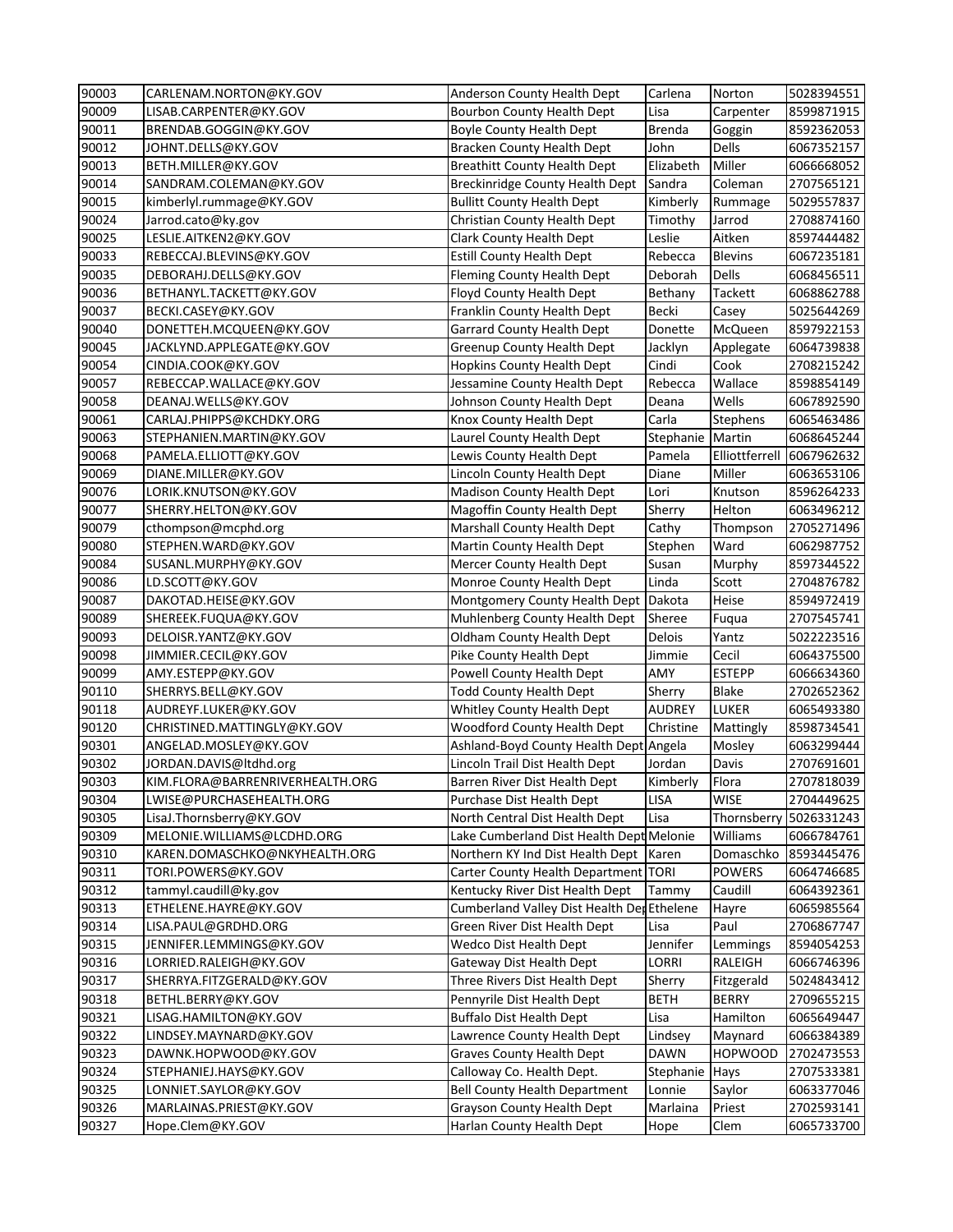| 90003 | CARLENAM.NORTON@KY.GOV          | Anderson County Health Dept                | Carlena          | Norton         | 5028394551             |
|-------|---------------------------------|--------------------------------------------|------------------|----------------|------------------------|
| 90009 | LISAB.CARPENTER@KY.GOV          | Bourbon County Health Dept                 | Lisa             | Carpenter      | 8599871915             |
| 90011 | BRENDAB.GOGGIN@KY.GOV           | <b>Boyle County Health Dept</b>            | <b>Brenda</b>    | Goggin         | 8592362053             |
| 90012 | JOHNT.DELLS@KY.GOV              | <b>Bracken County Health Dept</b>          | John             | Dells          | 6067352157             |
| 90013 | BETH.MILLER@KY.GOV              | <b>Breathitt County Health Dept</b>        | Elizabeth        | Miller         | 6066668052             |
| 90014 | SANDRAM.COLEMAN@KY.GOV          | <b>Breckinridge County Health Dept</b>     | Sandra           | Coleman        | 2707565121             |
| 90015 | kimberlyl.rummage@KY.GOV        | <b>Bullitt County Health Dept</b>          | Kimberly         | Rummage        | 5029557837             |
| 90024 | Jarrod.cato@ky.gov              | Christian County Health Dept               | Timothy          | Jarrod         | 2708874160             |
| 90025 | LESLIE.AITKEN2@KY.GOV           | <b>Clark County Health Dept</b>            | Leslie           | Aitken         | 8597444482             |
| 90033 | REBECCAJ.BLEVINS@KY.GOV         | <b>Estill County Health Dept</b>           | Rebecca          | <b>Blevins</b> | 6067235181             |
| 90035 | DEBORAHJ.DELLS@KY.GOV           | Fleming County Health Dept                 | Deborah          | <b>Dells</b>   | 6068456511             |
| 90036 | BETHANYL.TACKETT@KY.GOV         | Floyd County Health Dept                   | Bethany          | Tackett        | 6068862788             |
| 90037 | BECKI.CASEY@KY.GOV              | Franklin County Health Dept                | Becki            | Casey          | 5025644269             |
| 90040 | DONETTEH.MCQUEEN@KY.GOV         | <b>Garrard County Health Dept</b>          | Donette          | McQueen        | 8597922153             |
| 90045 | JACKLYND.APPLEGATE@KY.GOV       | <b>Greenup County Health Dept</b>          | Jacklyn          | Applegate      | 6064739838             |
| 90054 | CINDIA.COOK@KY.GOV              | <b>Hopkins County Health Dept</b>          | Cindi            | Cook           | 2708215242             |
| 90057 | REBECCAP.WALLACE@KY.GOV         | Jessamine County Health Dept               | Rebecca          | Wallace        | 8598854149             |
| 90058 | DEANAJ.WELLS@KY.GOV             | Johnson County Health Dept                 | Deana            | Wells          | 6067892590             |
| 90061 | CARLAJ.PHIPPS@KCHDKY.ORG        | Knox County Health Dept                    | Carla            | Stephens       | 6065463486             |
| 90063 | STEPHANIEN.MARTIN@KY.GOV        | Laurel County Health Dept                  | Stephanie Martin |                | 6068645244             |
| 90068 | PAMELA.ELLIOTT@KY.GOV           | Lewis County Health Dept                   | Pamela           | Elliottferrell | 6067962632             |
| 90069 | DIANE.MILLER@KY.GOV             | Lincoln County Health Dept                 | Diane            | Miller         | 6063653106             |
| 90076 | LORIK.KNUTSON@KY.GOV            | Madison County Health Dept                 | Lori             | Knutson        | 8596264233             |
| 90077 | SHERRY.HELTON@KY.GOV            | Magoffin County Health Dept                | Sherry           | Helton         | 6063496212             |
| 90079 | cthompson@mcphd.org             | Marshall County Health Dept                | Cathy            | Thompson       | 2705271496             |
| 90080 | STEPHEN.WARD@KY.GOV             | Martin County Health Dept                  | Stephen          | Ward           | 6062987752             |
| 90084 | SUSANL.MURPHY@KY.GOV            | Mercer County Health Dept                  | Susan            | Murphy         | 8597344522             |
| 90086 | LD.SCOTT@KY.GOV                 | Monroe County Health Dept                  | Linda            | Scott          | 2704876782             |
| 90087 | DAKOTAD.HEISE@KY.GOV            | Montgomery County Health Dept              | Dakota           | Heise          | 8594972419             |
| 90089 | SHEREEK.FUQUA@KY.GOV            | Muhlenberg County Health Dept              | Sheree           | Fuqua          | 2707545741             |
| 90093 | DELOISR.YANTZ@KY.GOV            | <b>Oldham County Health Dept</b>           | Delois           | Yantz          | 5022223516             |
| 90098 | JIMMIER.CECIL@KY.GOV            | Pike County Health Dept                    | Jimmie           | Cecil          | 6064375500             |
| 90099 | AMY.ESTEPP@KY.GOV               | Powell County Health Dept                  | AMY              | <b>ESTEPP</b>  | 6066634360             |
| 90110 | SHERRYS.BELL@KY.GOV             | <b>Todd County Health Dept</b>             | Sherry           | <b>Blake</b>   | 2702652362             |
| 90118 | AUDREYF.LUKER@KY.GOV            | <b>Whitley County Health Dept</b>          | <b>AUDREY</b>    | LUKER          | 6065493380             |
| 90120 | CHRISTINED.MATTINGLY@KY.GOV     | <b>Woodford County Health Dept</b>         | Christine        | Mattingly      | 8598734541             |
| 90301 | ANGELAD.MOSLEY@KY.GOV           | Ashland-Boyd County Health Dept Angela     |                  | Mosley         | 6063299444             |
| 90302 | JORDAN.DAVIS@ltdhd.org          | Lincoln Trail Dist Health Dept             | Jordan           | Davis          | 2707691601             |
| 90303 | KIM.FLORA@BARRENRIVERHEALTH.ORG | Barren River Dist Health Dept              | Kimberly         | Flora          | 2707818039             |
| 90304 | LWISE@PURCHASEHEALTH.ORG        | Purchase Dist Health Dept                  | LISA             | <b>WISE</b>    | 2704449625             |
| 90305 | LisaJ.Thornsberry@KY.GOV        | North Central Dist Health Dept             | Lisa             |                | Thornsberry 5026331243 |
| 90309 | MELONIE.WILLIAMS@LCDHD.ORG      | Lake Cumberland Dist Health Dept Melonie   |                  | Williams       | 6066784761             |
| 90310 | KAREN.DOMASCHKO@NKYHEALTH.ORG   | Northern KY Ind Dist Health Dept   Karen   |                  | Domaschko      | 8593445476             |
| 90311 | TORI.POWERS@KY.GOV              | Carter County Health Department TORI       |                  | <b>POWERS</b>  | 6064746685             |
| 90312 | tammyl.caudill@ky.gov           | Kentucky River Dist Health Dept            | Tammy            | Caudill        | 6064392361             |
| 90313 | ETHELENE.HAYRE@KY.GOV           | Cumberland Valley Dist Health Der Ethelene |                  | Hayre          | 6065985564             |
| 90314 | LISA.PAUL@GRDHD.ORG             | Green River Dist Health Dept               | Lisa             | Paul           | 2706867747             |
| 90315 | JENNIFER.LEMMINGS@KY.GOV        | <b>Wedco Dist Health Dept</b>              | Jennifer         | Lemmings       | 8594054253             |
| 90316 | LORRIED.RALEIGH@KY.GOV          | Gateway Dist Health Dept                   | LORRI            | RALEIGH        | 6066746396             |
| 90317 | SHERRYA.FITZGERALD@KY.GOV       | Three Rivers Dist Health Dept              | Sherry           | Fitzgerald     | 5024843412             |
| 90318 | BETHL.BERRY@KY.GOV              | Pennyrile Dist Health Dept                 | <b>BETH</b>      | <b>BERRY</b>   | 2709655215             |
| 90321 | LISAG.HAMILTON@KY.GOV           | <b>Buffalo Dist Health Dept</b>            | Lisa             | Hamilton       | 6065649447             |
| 90322 | LINDSEY.MAYNARD@KY.GOV          | Lawrence County Health Dept                | Lindsey          | Maynard        | 6066384389             |
| 90323 | DAWNK.HOPWOOD@KY.GOV            | <b>Graves County Health Dept</b>           | <b>DAWN</b>      | <b>HOPWOOD</b> | 2702473553             |
| 90324 | STEPHANIEJ.HAYS@KY.GOV          | Calloway Co. Health Dept.                  | Stephanie        | Hays           | 2707533381             |
| 90325 | LONNIET.SAYLOR@KY.GOV           | <b>Bell County Health Department</b>       | Lonnie           | Saylor         | 6063377046             |
| 90326 | MARLAINAS.PRIEST@KY.GOV         | <b>Grayson County Health Dept</b>          | Marlaina         | Priest         | 2702593141             |
| 90327 | Hope.Clem@KY.GOV                | Harlan County Health Dept                  | Hope             | Clem           | 6065733700             |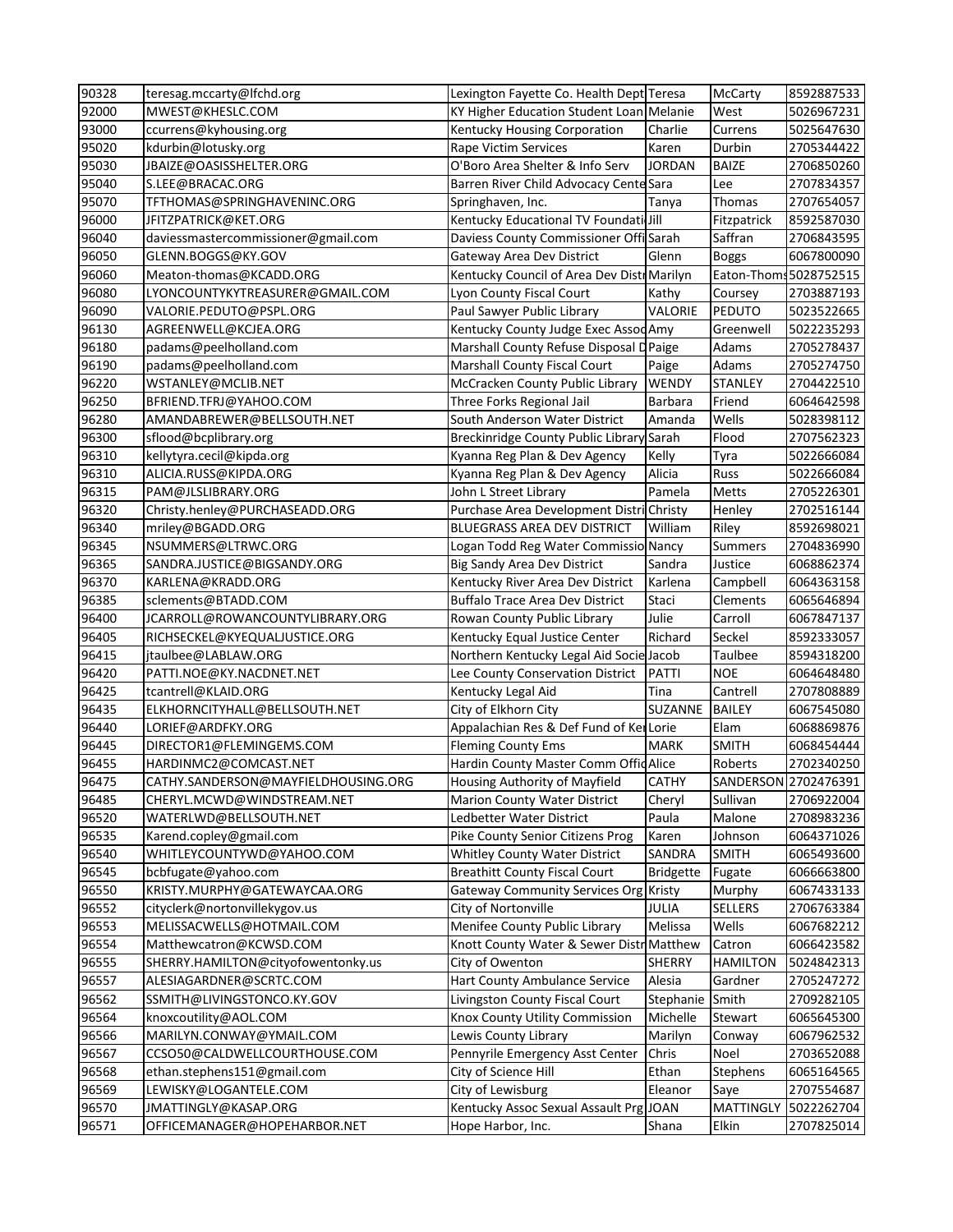| 90328          | teresag.mccarty@lfchd.org                            | Lexington Fayette Co. Health Dept Teresa                    |                 | McCarty                   | 8592887533               |
|----------------|------------------------------------------------------|-------------------------------------------------------------|-----------------|---------------------------|--------------------------|
| 92000          | MWEST@KHESLC.COM                                     | KY Higher Education Student Loan Melanie                    |                 | West                      | 5026967231               |
| 93000          | ccurrens@kyhousing.org                               | Kentucky Housing Corporation                                | Charlie         | Currens                   | 5025647630               |
| 95020          | kdurbin@lotusky.org                                  | Rape Victim Services                                        | Karen           | Durbin                    | 2705344422               |
| 95030          | JBAIZE@OASISSHELTER.ORG                              | O'Boro Area Shelter & Info Serv                             | <b>JORDAN</b>   | <b>BAIZE</b>              | 2706850260               |
| 95040          | S.LEE@BRACAC.ORG                                     | Barren River Child Advocacy Cente Sara                      |                 | Lee                       | 2707834357               |
| 95070          | TFTHOMAS@SPRINGHAVENINC.ORG                          | Springhaven, Inc.                                           | Tanya           | Thomas                    | 2707654057               |
| 96000          | JFITZPATRICK@KET.ORG                                 | Kentucky Educational TV Foundati Jill                       |                 | Fitzpatrick               | 8592587030               |
| 96040          | daviessmastercommissioner@gmail.com                  | Daviess County Commissioner Offi Sarah                      |                 | Saffran                   | 2706843595               |
| 96050          | GLENN.BOGGS@KY.GOV                                   | Gateway Area Dev District                                   | Glenn           | <b>Boggs</b>              | 6067800090               |
| 96060          | Meaton-thomas@KCADD.ORG                              | Kentucky Council of Area Dev Distr Marilyn                  |                 |                           | Eaton-Thoms 5028752515   |
| 96080          | LYONCOUNTYKYTREASURER@GMAIL.COM                      | Lyon County Fiscal Court                                    | Kathy           | Coursey                   | 2703887193               |
| 96090          | VALORIE.PEDUTO@PSPL.ORG                              | Paul Sawyer Public Library                                  | VALORIE         | PEDUTO                    | 5023522665               |
| 96130          | AGREENWELL@KCJEA.ORG                                 | Kentucky County Judge Exec AssodAmy                         |                 | Greenwell                 | 5022235293               |
| 96180          | padams@peelholland.com                               | Marshall County Refuse Disposal D Paige                     |                 | Adams                     | 2705278437               |
| 96190          | padams@peelholland.com                               | Marshall County Fiscal Court                                | Paige           | Adams                     | 2705274750               |
| 96220          | WSTANLEY@MCLIB.NET                                   | McCracken County Public Library                             | <b>WENDY</b>    | STANLEY                   | 2704422510               |
| 96250          | BFRIEND.TFRJ@YAHOO.COM                               | Three Forks Regional Jail                                   | Barbara         | Friend                    | 6064642598               |
| 96280          | AMANDABREWER@BELLSOUTH.NET                           | South Anderson Water District                               | Amanda          | Wells                     | 5028398112               |
| 96300          | sflood@bcplibrary.org                                | Breckinridge County Public Library Sarah                    |                 | Flood                     | 2707562323               |
| 96310          | kellytyra.cecil@kipda.org                            | Kyanna Reg Plan & Dev Agency                                | Kelly           | Tyra                      | 5022666084               |
| 96310          | ALICIA.RUSS@KIPDA.ORG                                | Kyanna Reg Plan & Dev Agency                                | Alicia          | Russ                      | 5022666084               |
| 96315          | PAM@JLSLIBRARY.ORG                                   | John L Street Library                                       | Pamela          | Metts                     | 2705226301               |
| 96320          | Christy.henley@PURCHASEADD.ORG                       | Purchase Area Development DistriChristy                     |                 | Henley                    | 2702516144               |
| 96340          | mriley@BGADD.ORG                                     | BLUEGRASS AREA DEV DISTRICT                                 | William         | Riley                     | 8592698021               |
| 96345          | NSUMMERS@LTRWC.ORG                                   | Logan Todd Reg Water Commissio Nancy                        |                 | Summers                   | 2704836990               |
| 96365          | SANDRA.JUSTICE@BIGSANDY.ORG                          | Big Sandy Area Dev District                                 | Sandra          | Justice                   | 6068862374               |
| 96370          | KARLENA@KRADD.ORG                                    | Kentucky River Area Dev District                            | Karlena         | Campbell                  | 6064363158               |
| 96385          | sclements@BTADD.COM                                  | <b>Buffalo Trace Area Dev District</b>                      | Staci           | Clements                  | 6065646894               |
| 96400          | JCARROLL@ROWANCOUNTYLIBRARY.ORG                      | Rowan County Public Library                                 | Julie           | Carroll                   | 6067847137               |
| 96405          | RICHSECKEL@KYEQUALJUSTICE.ORG                        | Kentucky Equal Justice Center                               | Richard         | Seckel                    | 8592333057               |
| 96415          | jtaulbee@LABLAW.ORG                                  | Northern Kentucky Legal Aid Socie Jacob                     |                 | Taulbee                   | 8594318200               |
| 96420          | PATTI.NOE@KY.NACDNET.NET                             | Lee County Conservation District                            | PATTI           | <b>NOE</b>                | 6064648480               |
| 96425          | tcantrell@KLAID.ORG                                  | Kentucky Legal Aid                                          | Tina            | Cantrell                  | 2707808889               |
| 96435          | ELKHORNCITYHALL@BELLSOUTH.NET                        | City of Elkhorn City                                        | SUZANNE         | <b>BAILEY</b>             | 6067545080               |
| 96440          | LORIEF@ARDFKY.ORG                                    | Appalachian Res & Def Fund of KerLorie                      |                 | Elam                      | 6068869876               |
| 96445          | DIRECTOR1@FLEMINGEMS.COM                             | <b>Fleming County Ems</b>                                   | <b>MARK</b>     | <b>SMITH</b>              | 6068454444               |
| 96455          | HARDINMC2@COMCAST.NET                                | Hardin County Master Comm Offid Alice                       |                 | Roberts                   | 2702340250               |
| 96475          | CATHY.SANDERSON@MAYFIELDHOUSING.ORG                  | Housing Authority of Mayfield                               | <b>CATHY</b>    |                           | SANDERSON 2702476391     |
| 96485          | CHERYL.MCWD@WINDSTREAM.NET                           | <b>Marion County Water District</b>                         | Cheryl          | Sullivan                  | 2706922004               |
| 96520          | WATERLWD@BELLSOUTH.NET                               | Ledbetter Water District                                    | Paula           | Malone                    | 2708983236               |
| 96535          | Karend.copley@gmail.com                              | Pike County Senior Citizens Prog                            | Karen           | Johnson                   | 6064371026               |
| 96540          | WHITLEYCOUNTYWD@YAHOO.COM                            | <b>Whitley County Water District</b>                        | SANDRA          | <b>SMITH</b>              | 6065493600               |
| 96545          | bcbfugate@yahoo.com                                  | <b>Breathitt County Fiscal Court</b>                        | Bridgette       | Fugate                    | 6066663800               |
| 96550          | KRISTY.MURPHY@GATEWAYCAA.ORG                         | Gateway Community Services Org Kristy                       |                 | Murphy                    | 6067433133               |
| 96552          | cityclerk@nortonvillekygov.us                        | City of Nortonville                                         | <b>JULIA</b>    | <b>SELLERS</b>            | 2706763384               |
| 96553          | MELISSACWELLS@HOTMAIL.COM                            | Menifee County Public Library                               | Melissa         | Wells                     | 6067682212               |
| 96554          |                                                      |                                                             |                 |                           |                          |
|                | Matthewcatron@KCWSD.COM                              | Knott County Water & Sewer Distr Matthew                    |                 | Catron                    | 6066423582               |
| 96555          | SHERRY.HAMILTON@cityofowentonky.us                   | City of Owenton                                             | <b>SHERRY</b>   | <b>HAMILTON</b>           | 5024842313               |
| 96557          | ALESIAGARDNER@SCRTC.COM                              | Hart County Ambulance Service                               | Alesia          | Gardner                   | 2705247272               |
| 96562          | SSMITH@LIVINGSTONCO.KY.GOV                           | Livingston County Fiscal Court                              | Stephanie Smith |                           | 2709282105               |
| 96564          | knoxcoutility@AOL.COM                                | Knox County Utility Commission                              | Michelle        | Stewart                   | 6065645300               |
| 96566          | MARILYN.CONWAY@YMAIL.COM                             | Lewis County Library                                        | Marilyn         | Conway                    | 6067962532               |
| 96567          | CCSO50@CALDWELLCOURTHOUSE.COM                        | Pennyrile Emergency Asst Center                             | Chris           | Noel                      | 2703652088               |
| 96568          | ethan.stephens151@gmail.com                          | City of Science Hill                                        | Ethan           | Stephens                  | 6065164565               |
| 96569          | LEWISKY@LOGANTELE.COM                                | City of Lewisburg                                           | Eleanor         | Saye                      | 2707554687               |
| 96570<br>96571 | JMATTINGLY@KASAP.ORG<br>OFFICEMANAGER@HOPEHARBOR.NET | Kentucky Assoc Sexual Assault Prg JOAN<br>Hope Harbor, Inc. |                 | <b>MATTINGLY</b><br>Elkin | 5022262704<br>2707825014 |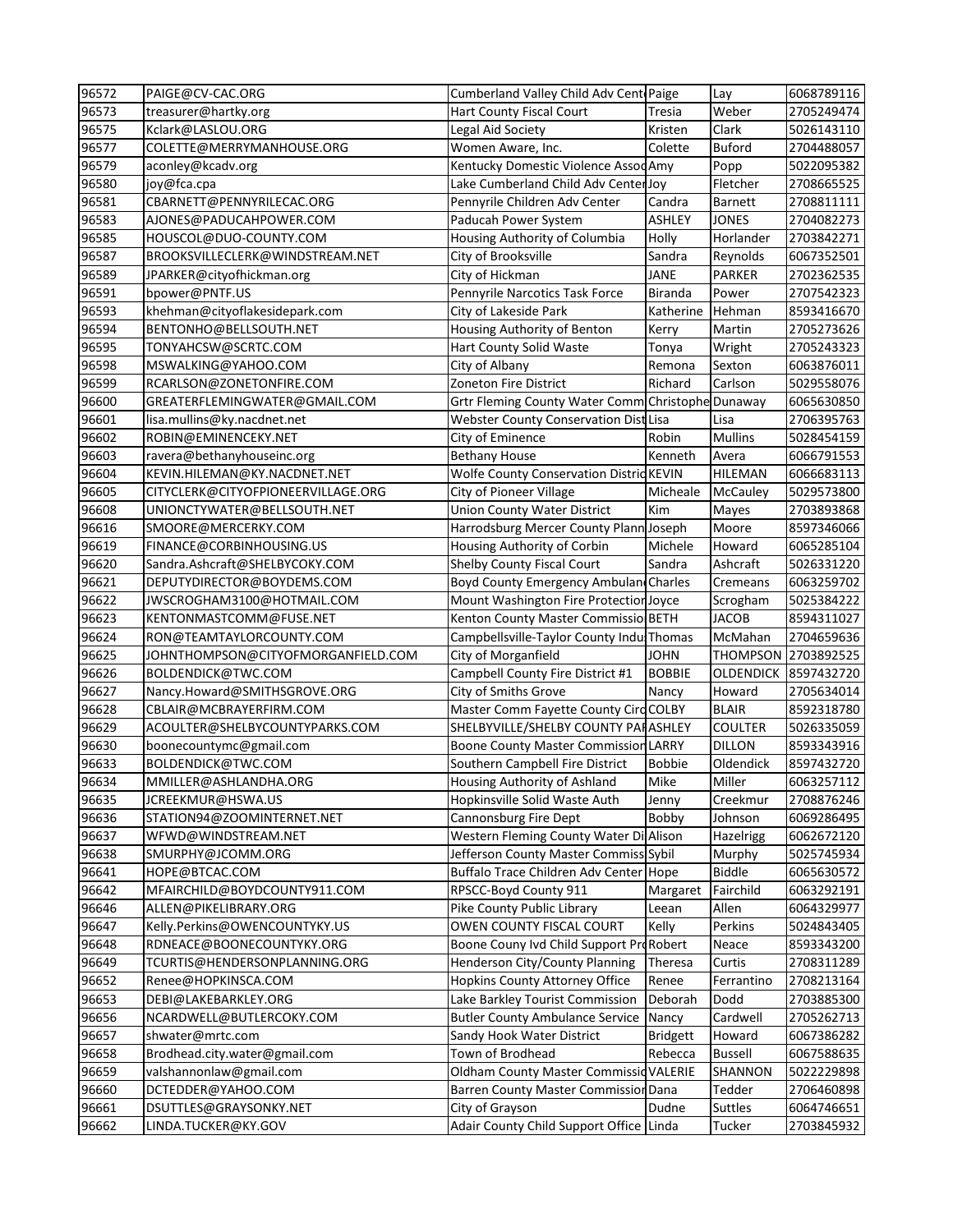| 96572 | PAIGE@CV-CAC.ORG                   | Cumberland Valley Child Adv Cent Paige            |                 | Lay            | 6068789116           |
|-------|------------------------------------|---------------------------------------------------|-----------------|----------------|----------------------|
| 96573 | treasurer@hartky.org               | Hart County Fiscal Court                          | <b>Tresia</b>   | Weber          | 2705249474           |
| 96575 | Kclark@LASLOU.ORG                  | Legal Aid Society                                 | Kristen         | Clark          | 5026143110           |
| 96577 | COLETTE@MERRYMANHOUSE.ORG          | Women Aware, Inc.                                 | Colette         | <b>Buford</b>  | 2704488057           |
| 96579 | aconley@kcadv.org                  | Kentucky Domestic Violence AssodAmy               |                 | Popp           | 5022095382           |
| 96580 | joy@fca.cpa                        | Lake Cumberland Child Adv CenterJoy               |                 | Fletcher       | 2708665525           |
| 96581 | CBARNETT@PENNYRILECAC.ORG          | Pennyrile Children Adv Center                     | Candra          | <b>Barnett</b> | 2708811111           |
| 96583 | AJONES@PADUCAHPOWER.COM            | Paducah Power System                              | <b>ASHLEY</b>   | <b>JONES</b>   | 2704082273           |
| 96585 | HOUSCOL@DUO-COUNTY.COM             | Housing Authority of Columbia                     | Holly           | Horlander      | 2703842271           |
| 96587 | BROOKSVILLECLERK@WINDSTREAM.NET    | City of Brooksville                               | Sandra          | Reynolds       | 6067352501           |
| 96589 | JPARKER@cityofhickman.org          | City of Hickman                                   | <b>JANE</b>     | <b>PARKER</b>  | 2702362535           |
| 96591 | bpower@PNTF.US                     | Pennyrile Narcotics Task Force                    | <b>Biranda</b>  | Power          | 2707542323           |
| 96593 | khehman@cityoflakesidepark.com     | City of Lakeside Park                             | Katherine       | Hehman         | 8593416670           |
| 96594 | BENTONHO@BELLSOUTH.NET             | Housing Authority of Benton                       | Kerry           | Martin         | 2705273626           |
| 96595 | TONYAHCSW@SCRTC.COM                | Hart County Solid Waste                           | Tonya           | Wright         | 2705243323           |
| 96598 | MSWALKING@YAHOO.COM                | City of Albany                                    | Remona          | Sexton         | 6063876011           |
| 96599 | RCARLSON@ZONETONFIRE.COM           | Zoneton Fire District                             | Richard         | Carlson        | 5029558076           |
| 96600 | GREATERFLEMINGWATER@GMAIL.COM      | Grtr Fleming County Water Comm Christophe Dunaway |                 |                | 6065630850           |
| 96601 | lisa.mullins@ky.nacdnet.net        | Webster County Conservation Dist Lisa             |                 | Lisa           | 2706395763           |
| 96602 | ROBIN@EMINENCEKY.NET               | City of Eminence                                  | Robin           | <b>Mullins</b> | 5028454159           |
| 96603 | ravera@bethanyhouseinc.org         | <b>Bethany House</b>                              | Kenneth         | Avera          | 6066791553           |
| 96604 | KEVIN.HILEMAN@KY.NACDNET.NET       | Wolfe County Conservation DistricKEVIN            |                 | HILEMAN        | 6066683113           |
| 96605 | CITYCLERK@CITYOFPIONEERVILLAGE.ORG | <b>City of Pioneer Village</b>                    | Micheale        | McCauley       | 5029573800           |
| 96608 | UNIONCTYWATER@BELLSOUTH.NET        | <b>Union County Water District</b>                | Kim             | Mayes          | 2703893868           |
| 96616 | SMOORE@MERCERKY.COM                | Harrodsburg Mercer County Plann Joseph            |                 | Moore          | 8597346066           |
| 96619 | FINANCE@CORBINHOUSING.US           | Housing Authority of Corbin                       | Michele         | Howard         | 6065285104           |
| 96620 | Sandra.Ashcraft@SHELBYCOKY.COM     | Shelby County Fiscal Court                        | Sandra          | Ashcraft       | 5026331220           |
| 96621 | DEPUTYDIRECTOR@BOYDEMS.COM         | Boyd County Emergency Ambulan Charles             |                 | Cremeans       | 6063259702           |
| 96622 | JWSCROGHAM3100@HOTMAIL.COM         | Mount Washington Fire Protection Joyce            |                 | Scrogham       | 5025384222           |
| 96623 | KENTONMASTCOMM@FUSE.NET            | Kenton County Master Commissio BETH               |                 | <b>JACOB</b>   | 8594311027           |
| 96624 | RON@TEAMTAYLORCOUNTY.COM           | Campbellsville-Taylor County Indu Thomas          |                 | McMahan        | 2704659636           |
| 96625 | JOHNTHOMPSON@CITYOFMORGANFIELD.COM | City of Morganfield                               | <b>JOHN</b>     |                | THOMPSON 2703892525  |
| 96626 | <b>BOLDENDICK@TWC.COM</b>          | Campbell County Fire District #1                  | <b>BOBBIE</b>   |                | OLDENDICK 8597432720 |
| 96627 | Nancy.Howard@SMITHSGROVE.ORG       | City of Smiths Grove                              | Nancy           | Howard         | 2705634014           |
| 96628 | CBLAIR@MCBRAYERFIRM.COM            | Master Comm Fayette County Circ COLBY             |                 | <b>BLAIR</b>   | 8592318780           |
| 96629 | ACOULTER@SHELBYCOUNTYPARKS.COM     | SHELBYVILLE/SHELBY COUNTY PAHASHLEY               |                 | <b>COULTER</b> | 5026335059           |
| 96630 | boonecountymc@gmail.com            | <b>Boone County Master Commission LARRY</b>       |                 | <b>DILLON</b>  | 8593343916           |
| 96633 | BOLDENDICK@TWC.COM                 | Southern Campbell Fire District                   | <b>Bobbie</b>   | Oldendick      | 8597432720           |
| 96634 | MMILLER@ASHLANDHA.ORG              | Housing Authority of Ashland                      | Mike            | Miller         | 6063257112           |
| 96635 | JCREEKMUR@HSWA.US                  | Hopkinsville Solid Waste Auth                     | Jenny           | Creekmur       | 2708876246           |
| 96636 | STATION94@ZOOMINTERNET.NET         | Cannonsburg Fire Dept                             | Bobby           | Johnson        | 6069286495           |
| 96637 | WFWD@WINDSTREAM.NET                | Western Fleming County Water Di Alison            |                 | Hazelrigg      | 6062672120           |
| 96638 | SMURPHY@JCOMM.ORG                  | Jefferson County Master Commiss Sybil             |                 | Murphy         | 5025745934           |
| 96641 | HOPE@BTCAC.COM                     | Buffalo Trace Children Adv Center Hope            |                 | <b>Biddle</b>  | 6065630572           |
| 96642 | MFAIRCHILD@BOYDCOUNTY911.COM       | RPSCC-Boyd County 911                             | Margaret        | Fairchild      | 6063292191           |
| 96646 | ALLEN@PIKELIBRARY.ORG              | Pike County Public Library                        | Leean           | Allen          | 6064329977           |
| 96647 | Kelly.Perkins@OWENCOUNTYKY.US      | OWEN COUNTY FISCAL COURT                          | Kelly           | Perkins        | 5024843405           |
| 96648 | RDNEACE@BOONECOUNTYKY.ORG          | Boone Couny Ivd Child Support ProRobert           |                 | Neace          | 8593343200           |
| 96649 | TCURTIS@HENDERSONPLANNING.ORG      | Henderson City/County Planning                    | Theresa         | Curtis         | 2708311289           |
| 96652 | Renee@HOPKINSCA.COM                | <b>Hopkins County Attorney Office</b>             | Renee           | Ferrantino     | 2708213164           |
| 96653 | DEBI@LAKEBARKLEY.ORG               | Lake Barkley Tourist Commission                   | Deborah         | Dodd           | 2703885300           |
| 96656 | NCARDWELL@BUTLERCOKY.COM           | <b>Butler County Ambulance Service   Nancy</b>    |                 | Cardwell       | 2705262713           |
| 96657 | shwater@mrtc.com                   | Sandy Hook Water District                         | <b>Bridgett</b> | Howard         | 6067386282           |
| 96658 | Brodhead.city.water@gmail.com      | Town of Brodhead                                  | Rebecca         | <b>Bussell</b> | 6067588635           |
| 96659 | valshannonlaw@gmail.com            | <b>Oldham County Master Commissid VALERIE</b>     |                 | SHANNON        | 5022229898           |
| 96660 | DCTEDDER@YAHOO.COM                 | Barren County Master Commission Dana              |                 | Tedder         | 2706460898           |
| 96661 | DSUTTLES@GRAYSONKY.NET             | City of Grayson                                   | Dudne           | <b>Suttles</b> | 6064746651           |
| 96662 | LINDA.TUCKER@KY.GOV                | Adair County Child Support Office Linda           |                 | Tucker         | 2703845932           |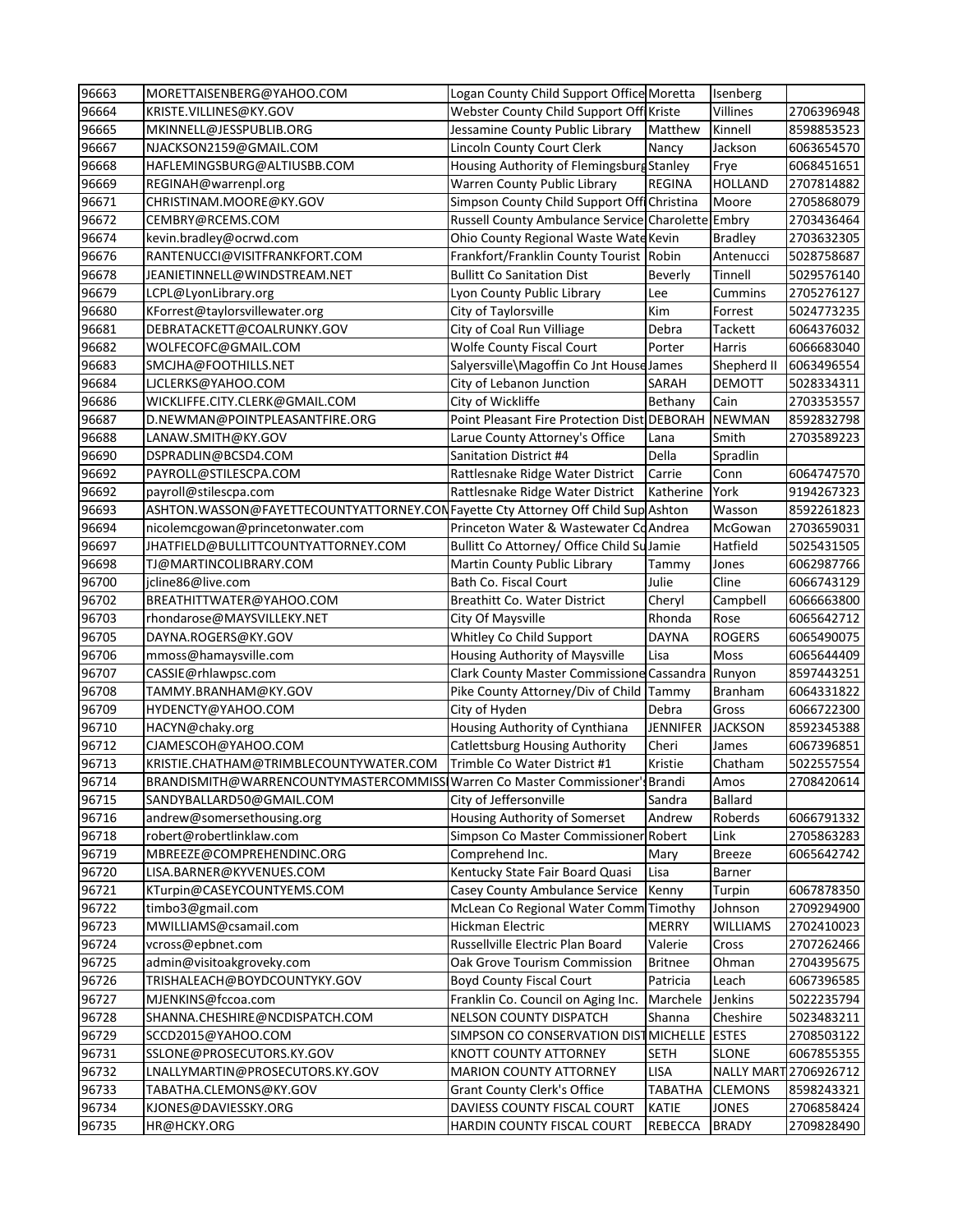| 96663          | MORETTAISENBERG@YAHOO.COM                                                         | Logan County Child Support Office Moretta                 |                                | Isenberg                     |                          |
|----------------|-----------------------------------------------------------------------------------|-----------------------------------------------------------|--------------------------------|------------------------------|--------------------------|
| 96664          | KRISTE.VILLINES@KY.GOV                                                            | Webster County Child Support Off Kriste                   |                                | Villines                     | 2706396948               |
| 96665          | MKINNELL@JESSPUBLIB.ORG                                                           | Jessamine County Public Library                           | Matthew                        | Kinnell                      | 8598853523               |
| 96667          | NJACKSON2159@GMAIL.COM                                                            | Lincoln County Court Clerk                                | Nancy                          | Jackson                      | 6063654570               |
| 96668          | HAFLEMINGSBURG@ALTIUSBB.COM                                                       | Housing Authority of Flemingsburg Stanley                 |                                | Frye                         | 6068451651               |
| 96669          | REGINAH@warrenpl.org                                                              | Warren County Public Library                              | <b>REGINA</b>                  | <b>HOLLAND</b>               | 2707814882               |
| 96671          | CHRISTINAM.MOORE@KY.GOV                                                           | Simpson County Child Support Offi Christina               |                                | Moore                        | 2705868079               |
| 96672          | CEMBRY@RCEMS.COM                                                                  | Russell County Ambulance Service Charolette Embry         |                                |                              | 2703436464               |
| 96674          | kevin.bradley@ocrwd.com                                                           | Ohio County Regional Waste Wate Kevin                     |                                | <b>Bradley</b>               | 2703632305               |
| 96676          | RANTENUCCI@VISITFRANKFORT.COM                                                     | Frankfort/Franklin County Tourist Robin                   |                                | Antenucci                    | 5028758687               |
| 96678          | JEANIETINNELL@WINDSTREAM.NET                                                      | <b>Bullitt Co Sanitation Dist</b>                         | <b>Beverly</b>                 | Tinnell                      | 5029576140               |
| 96679          | LCPL@LyonLibrary.org                                                              | Lyon County Public Library                                | Lee                            | Cummins                      | 2705276127               |
| 96680          | KForrest@taylorsvillewater.org                                                    | City of Taylorsville                                      | Kim                            | Forrest                      | 5024773235               |
| 96681          | DEBRATACKETT@COALRUNKY.GOV                                                        | City of Coal Run Villiage                                 | Debra                          | Tackett                      | 6064376032               |
| 96682          | WOLFECOFC@GMAIL.COM                                                               | <b>Wolfe County Fiscal Court</b>                          | Porter                         | Harris                       | 6066683040               |
| 96683          | SMCJHA@FOOTHILLS.NET                                                              | Salyersville\Magoffin Co Jnt House James                  |                                | Shepherd II                  | 6063496554               |
| 96684          | LJCLERKS@YAHOO.COM                                                                | City of Lebanon Junction                                  | <b>SARAH</b>                   | <b>DEMOTT</b>                | 5028334311               |
| 96686          | WICKLIFFE.CITY.CLERK@GMAIL.COM                                                    | City of Wickliffe                                         | Bethany                        | Cain                         | 2703353557               |
| 96687          | D.NEWMAN@POINTPLEASANTFIRE.ORG                                                    | Point Pleasant Fire Protection Dist DEBORAH NEWMAN        |                                |                              | 8592832798               |
| 96688          | LANAW.SMITH@KY.GOV                                                                | Larue County Attorney's Office                            | Lana                           | Smith                        | 2703589223               |
| 96690          | DSPRADLIN@BCSD4.COM                                                               | <b>Sanitation District #4</b>                             | Della                          | Spradlin                     |                          |
| 96692          | PAYROLL@STILESCPA.COM                                                             | Rattlesnake Ridge Water District                          | Carrie                         | Conn                         | 6064747570               |
| 96692          | payroll@stilescpa.com                                                             | Rattlesnake Ridge Water District                          | Katherine                      | York                         | 9194267323               |
| 96693          | ASHTON. WASSON@FAYETTECOUNTYATTORNEY.CONFayette Cty Attorney Off Child Sup Ashton |                                                           |                                | Wasson                       | 8592261823               |
| 96694          | nicolemcgowan@princetonwater.com                                                  | Princeton Water & Wastewater CoAndrea                     |                                | McGowan                      | 2703659031               |
| 96697          | JHATFIELD@BULLITTCOUNTYATTORNEY.COM                                               | Bullitt Co Attorney/ Office Child SulJamie                |                                | Hatfield                     | 5025431505               |
| 96698          | TJ@MARTINCOLIBRARY.COM                                                            | Martin County Public Library                              | Tammy                          | Jones                        | 6062987766               |
| 96700          | jcline86@live.com                                                                 | Bath Co. Fiscal Court                                     | Julie                          | Cline                        | 6066743129               |
| 96702          | BREATHITTWATER@YAHOO.COM                                                          | Breathitt Co. Water District                              | Cheryl                         | Campbell                     | 6066663800               |
| 96703          | rhondarose@MAYSVILLEKY.NET                                                        | City Of Maysville                                         | Rhonda                         | Rose                         | 6065642712               |
| 96705          | DAYNA.ROGERS@KY.GOV                                                               | Whitley Co Child Support                                  | <b>DAYNA</b>                   | <b>ROGERS</b>                | 6065490075               |
| 96706          | mmoss@hamaysville.com                                                             | Housing Authority of Maysville                            | Lisa                           | Moss                         | 6065644409               |
| 96707          | CASSIE@rhlawpsc.com                                                               | Clark County Master Commissione Cassandra Runyon          |                                |                              | 8597443251               |
| 96708          | TAMMY.BRANHAM@KY.GOV                                                              | Pike County Attorney/Div of Child Tammy                   |                                | <b>Branham</b>               | 6064331822               |
| 96709          | HYDENCTY@YAHOO.COM                                                                | City of Hyden                                             | Debra                          | Gross                        | 6066722300               |
| 96710          | HACYN@chaky.org                                                                   | Housing Authority of Cynthiana                            | <b>JENNIFER</b>                | <b>JACKSON</b>               | 8592345388               |
| 96712          | CJAMESCOH@YAHOO.COM                                                               | <b>Catlettsburg Housing Authority</b>                     | Cheri                          | James                        | 6067396851               |
| 96713          | KRISTIE.CHATHAM@TRIMBLECOUNTYWATER.COM                                            | Trimble Co Water District #1                              | Kristie                        | Chatham                      | 5022557554               |
| 96714          | BRANDISMITH@WARRENCOUNTYMASTERCOMMISSI                                            | Warren Co Master Commissioner's Brandi                    |                                | Amos                         | 2708420614               |
| 96715          | SANDYBALLARD50@GMAIL.COM                                                          | City of Jeffersonville                                    | Sandra                         | <b>Ballard</b>               |                          |
| 96716          |                                                                                   |                                                           |                                |                              |                          |
| 96718          | andrew@somersethousing.org                                                        | Housing Authority of Somerset                             | Andrew                         | Roberds                      | 6066791332               |
|                | robert@robertlinklaw.com                                                          | Simpson Co Master Commissioner Robert                     |                                | Link                         | 2705863283               |
| 96719          | MBREEZE@COMPREHENDINC.ORG                                                         | Comprehend Inc.                                           | Mary                           | <b>Breeze</b>                | 6065642742               |
| 96720          | LISA.BARNER@KYVENUES.COM                                                          | Kentucky State Fair Board Quasi                           | Lisa                           | Barner                       |                          |
| 96721          | KTurpin@CASEYCOUNTYEMS.COM                                                        | Casey County Ambulance Service                            | Kenny                          | Turpin                       | 6067878350               |
| 96722          | timbo3@gmail.com                                                                  | McLean Co Regional Water Comm Timothy                     |                                | Johnson                      | 2709294900               |
| 96723          | MWILLIAMS@csamail.com                                                             | <b>Hickman Electric</b>                                   | <b>MERRY</b>                   | <b>WILLIAMS</b>              | 2702410023               |
| 96724          | vcross@epbnet.com                                                                 | Russellville Electric Plan Board                          | Valerie                        | Cross                        | 2707262466               |
| 96725          | admin@visitoakgroveky.com                                                         | Oak Grove Tourism Commission                              | <b>Britnee</b>                 | Ohman                        | 2704395675               |
| 96726          | TRISHALEACH@BOYDCOUNTYKY.GOV                                                      | <b>Boyd County Fiscal Court</b>                           | Patricia                       | Leach                        | 6067396585               |
| 96727          | MJENKINS@fccoa.com                                                                | Franklin Co. Council on Aging Inc.                        | Marchele                       | Jenkins                      | 5022235794               |
| 96728          | SHANNA.CHESHIRE@NCDISPATCH.COM                                                    | <b>NELSON COUNTY DISPATCH</b>                             | Shanna                         | Cheshire                     | 5023483211               |
| 96729          | SCCD2015@YAHOO.COM                                                                | SIMPSON CO CONSERVATION DISTMICHELLE ESTES                |                                |                              | 2708503122               |
| 96731          | SSLONE@PROSECUTORS.KY.GOV                                                         | KNOTT COUNTY ATTORNEY                                     | <b>SETH</b>                    | <b>SLONE</b>                 | 6067855355               |
| 96732          | LNALLYMARTIN@PROSECUTORS.KY.GOV                                                   | <b>MARION COUNTY ATTORNEY</b>                             | <b>LISA</b>                    |                              | NALLY MART 2706926712    |
| 96733          | TABATHA.CLEMONS@KY.GOV                                                            | <b>Grant County Clerk's Office</b>                        | TABATHA                        | <b>CLEMONS</b>               | 8598243321               |
| 96734<br>96735 | KJONES@DAVIESSKY.ORG<br>HR@HCKY.ORG                                               | DAVIESS COUNTY FISCAL COURT<br>HARDIN COUNTY FISCAL COURT | <b>KATIE</b><br><b>REBECCA</b> | <b>JONES</b><br><b>BRADY</b> | 2706858424<br>2709828490 |